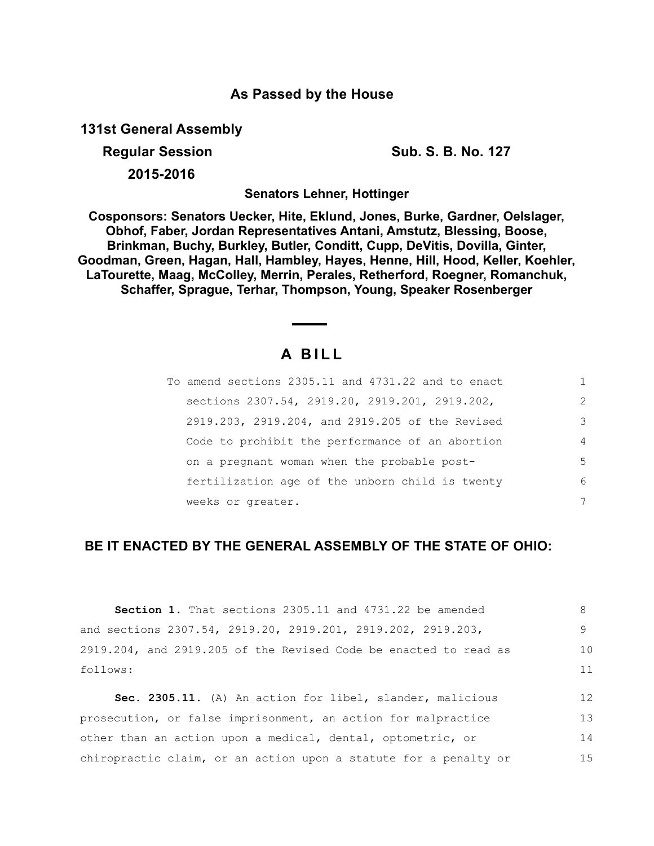## **As Passed by the House**

**131st General Assembly**

**Regular Session Sub. S. B. No. 127** 

**2015-2016**

**Senators Lehner, Hottinger**

**Cosponsors: Senators Uecker, Hite, Eklund, Jones, Burke, Gardner, Oelslager, Obhof, Faber, Jordan Representatives Antani, Amstutz, Blessing, Boose, Brinkman, Buchy, Burkley, Butler, Conditt, Cupp, DeVitis, Dovilla, Ginter, Goodman, Green, Hagan, Hall, Hambley, Hayes, Henne, Hill, Hood, Keller, Koehler, LaTourette, Maag, McColley, Merrin, Perales, Retherford, Roegner, Romanchuk, Schaffer, Sprague, Terhar, Thompson, Young, Speaker Rosenberger**

# **A B I L L**

| To amend sections 2305.11 and 4731.22 and to enact |                |
|----------------------------------------------------|----------------|
| sections 2307.54, 2919.20, 2919.201, 2919.202,     | $\mathcal{L}$  |
| 2919.203, 2919.204, and 2919.205 of the Revised    | 3              |
| Code to prohibit the performance of an abortion    | $\overline{4}$ |
| on a pregnant woman when the probable post-        | 5              |
| fertilization age of the unborn child is twenty    | 6              |
| weeks or greater.                                  | 7              |

### **BE IT ENACTED BY THE GENERAL ASSEMBLY OF THE STATE OF OHIO:**

| <b>Section 1.</b> That sections 2305.11 and 4731.22 be amended   | 8  |
|------------------------------------------------------------------|----|
| and sections 2307.54, 2919.20, 2919.201, 2919.202, 2919.203,     | 9  |
| 2919.204, and 2919.205 of the Revised Code be enacted to read as | 10 |
| follows:                                                         | 11 |
|                                                                  |    |
| Sec. 2305.11. (A) An action for libel, slander, malicious        | 12 |
| prosecution, or false imprisonment, an action for malpractice    | 13 |
| other than an action upon a medical, dental, optometric, or      | 14 |
| chiropractic claim, or an action upon a statute for a penalty or | 15 |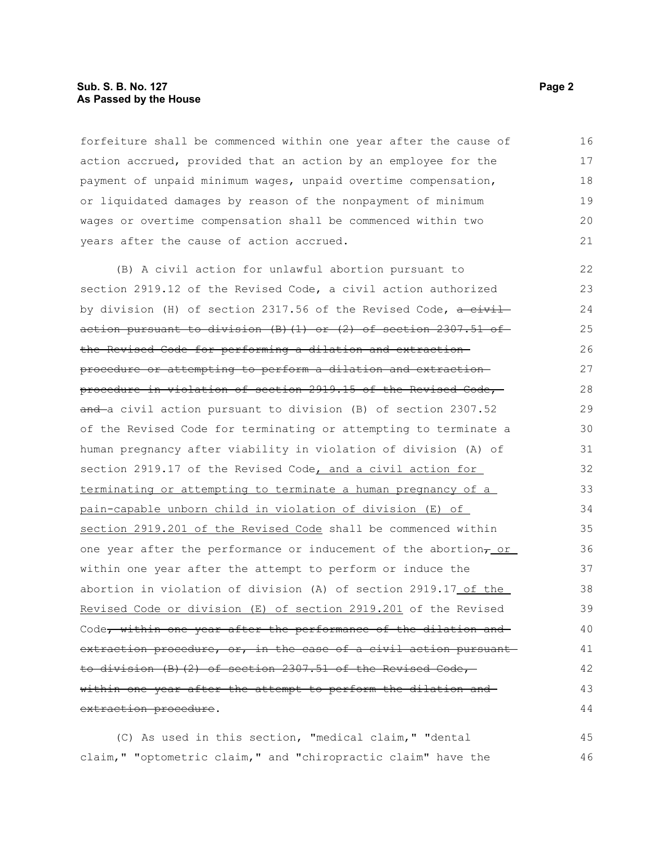#### **Sub. S. B. No. 127 Page 2 As Passed by the House**

forfeiture shall be commenced within one year after the cause of action accrued, provided that an action by an employee for the payment of unpaid minimum wages, unpaid overtime compensation, or liquidated damages by reason of the nonpayment of minimum wages or overtime compensation shall be commenced within two years after the cause of action accrued. 16 17 18 19 20 21

(B) A civil action for unlawful abortion pursuant to section 2919.12 of the Revised Code, a civil action authorized by division (H) of section 2317.56 of the Revised Code,  $a$  civil action pursuant to division (B)(1) or (2) of section 2307.51 of the Revised Code for performing a dilation and extraction procedure or attempting to perform a dilation and extraction procedure in violation of section 2919.15 of the Revised Code, and a civil action pursuant to division (B) of section 2307.52 of the Revised Code for terminating or attempting to terminate a human pregnancy after viability in violation of division (A) of section 2919.17 of the Revised Code, and a civil action for terminating or attempting to terminate a human pregnancy of a pain-capable unborn child in violation of division (E) of section 2919.201 of the Revised Code shall be commenced within one year after the performance or inducement of the abortion $\tau$  or within one year after the attempt to perform or induce the abortion in violation of division (A) of section 2919.17 of the Revised Code or division (E) of section 2919.201 of the Revised Code, within one year after the performance of the dilation and extraction procedure, or, in the case of a civil action pursuant to division (B)(2) of section 2307.51 of the Revised Code,within one year after the attempt to perform the dilation and extraction procedure. 22 23  $24$ 25 26 27 28 29 30 31 32 33 34 35 36 37 38 39 40 41 42 43 44

(C) As used in this section, "medical claim," "dental claim," "optometric claim," and "chiropractic claim" have the 45 46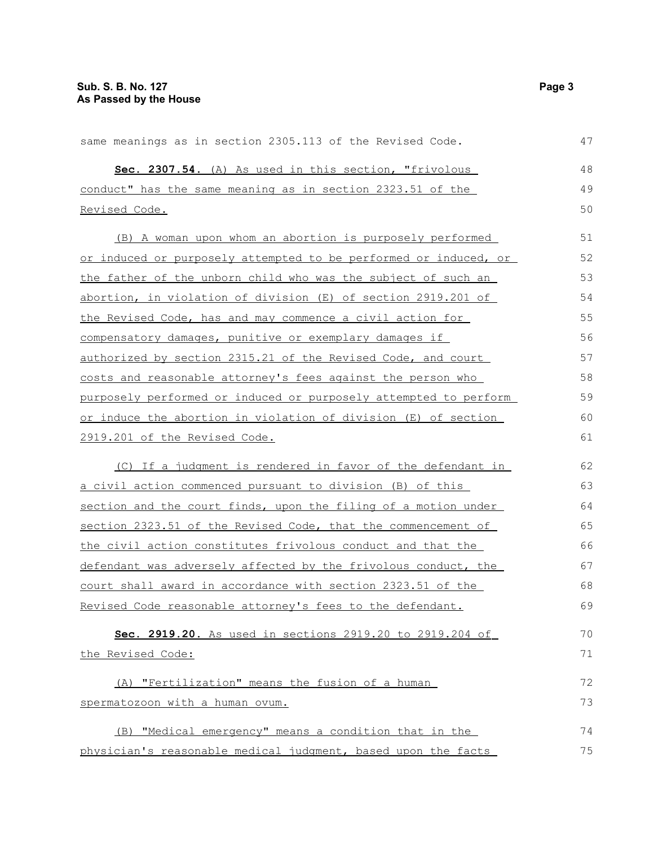| same meanings as in section 2305.113 of the Revised Code.        | 47 |
|------------------------------------------------------------------|----|
| Sec. 2307.54. (A) As used in this section, "frivolous            | 48 |
| conduct" has the same meaning as in section 2323.51 of the       | 49 |
| Revised Code.                                                    | 50 |
| (B) A woman upon whom an abortion is purposely performed         | 51 |
| or induced or purposely attempted to be performed or induced, or | 52 |
| the father of the unborn child who was the subject of such an    | 53 |
| abortion, in violation of division (E) of section 2919.201 of    | 54 |
| the Revised Code, has and may commence a civil action for        | 55 |
| compensatory damages, punitive or exemplary damages if           | 56 |
| authorized by section 2315.21 of the Revised Code, and court     | 57 |
| costs and reasonable attorney's fees against the person who      | 58 |
| purposely performed or induced or purposely attempted to perform | 59 |
| or induce the abortion in violation of division (E) of section   | 60 |
| 2919.201 of the Revised Code.                                    | 61 |
| (C) If a judgment is rendered in favor of the defendant in       | 62 |
| a civil action commenced pursuant to division (B) of this        | 63 |
| section and the court finds, upon the filing of a motion under   | 64 |
| section 2323.51 of the Revised Code, that the commencement of    | 65 |
| the civil action constitutes frivolous conduct and that the      | 66 |
| defendant was adversely affected by the frivolous conduct, the   | 67 |
| court shall award in accordance with section 2323.51 of the      | 68 |
| Revised Code reasonable attorney's fees to the defendant.        | 69 |
|                                                                  |    |
| Sec. 2919.20. As used in sections 2919.20 to 2919.204 of         | 70 |
| the Revised Code:                                                | 71 |
| (A) "Fertilization" means the fusion of a human                  | 72 |
| spermatozoon with a human ovum.                                  | 73 |
| (B) "Medical emergency" means a condition that in the            | 74 |
| physician's reasonable medical judgment, based upon the facts    | 75 |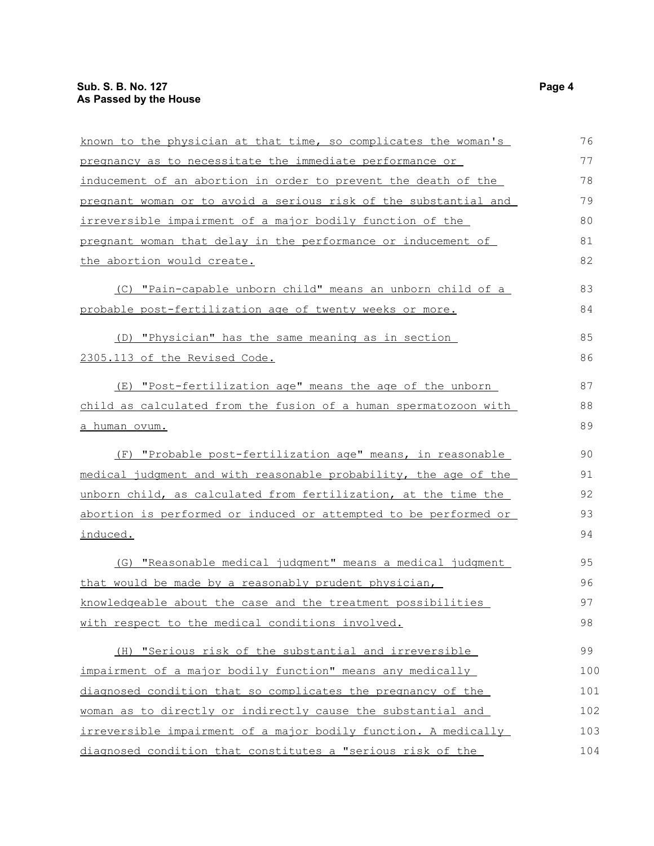| known to the physician at that time, so complicates the woman's  | 76  |
|------------------------------------------------------------------|-----|
| pregnancy as to necessitate the immediate performance or         | 77  |
| inducement of an abortion in order to prevent the death of the   | 78  |
| pregnant woman or to avoid a serious risk of the substantial and | 79  |
| irreversible impairment of a major bodily function of the        | 80  |
| pregnant woman that delay in the performance or inducement of    | 81  |
| the abortion would create.                                       | 82  |
| (C) "Pain-capable unborn child" means an unborn child of a       | 83  |
| probable post-fertilization age of twenty weeks or more.         | 84  |
| "Physician" has the same meaning as in section<br>(D)            | 85  |
| 2305.113 of the Revised Code.                                    | 86  |
| (E) "Post-fertilization age" means the age of the unborn         | 87  |
| child as calculated from the fusion of a human spermatozoon with | 88  |
| <u>a human ovum.</u>                                             | 89  |
| (F) "Probable post-fertilization age" means, in reasonable       | 90  |
| medical judgment and with reasonable probability, the age of the | 91  |
| unborn child, as calculated from fertilization, at the time the  | 92  |
| abortion is performed or induced or attempted to be performed or | 93  |
| induced.                                                         | 94  |
| (G) "Reasonable medical judgment" means a medical judgment       | 95  |
| that would be made by a reasonably prudent physician,            | 96  |
| knowledgeable about the case and the treatment possibilities     | 97  |
| with respect to the medical conditions involved.                 | 98  |
| (H) "Serious risk of the substantial and irreversible            | 99  |
| impairment of a major bodily function" means any medically       | 100 |
| diagnosed condition that so complicates the pregnancy of the     | 101 |
| woman as to directly or indirectly cause the substantial and     | 102 |
| irreversible impairment of a major bodily function. A medically  | 103 |
| diagnosed condition that constitutes a "serious risk of the      | 104 |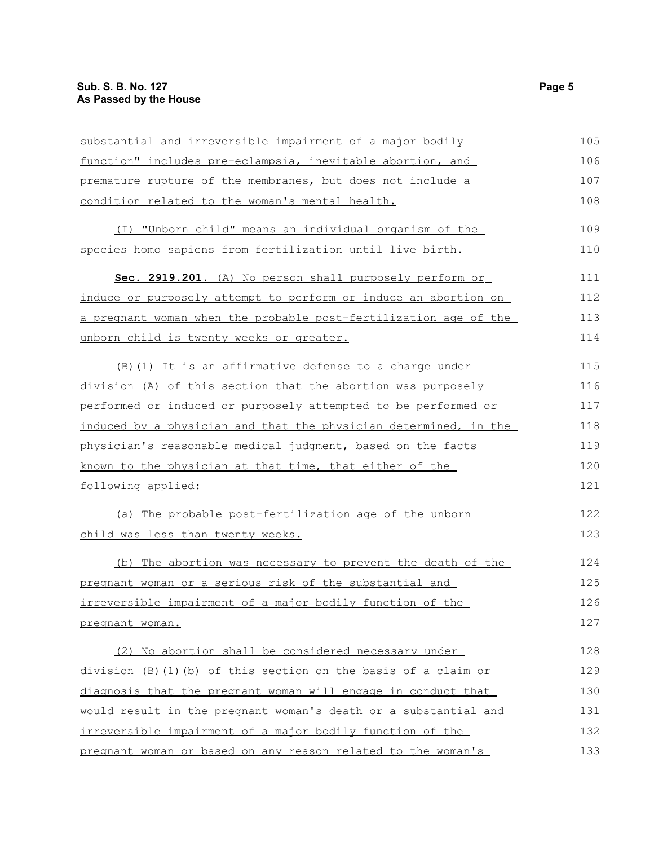| substantial and irreversible impairment of a major bodily              | 105 |
|------------------------------------------------------------------------|-----|
| function" includes pre-eclampsia, inevitable abortion, and             | 106 |
| premature rupture of the membranes, but does not include a             | 107 |
| condition related to the woman's mental health.                        | 108 |
| (I) "Unborn child" means an individual organism of the                 | 109 |
| species homo sapiens from fertilization until live birth.              | 110 |
| Sec. 2919.201. (A) No person shall purposely perform or                | 111 |
| <u>induce or purposely attempt to perform or induce an abortion on</u> | 112 |
| a pregnant woman when the probable post-fertilization age of the       | 113 |
| unborn child is twenty weeks or greater.                               | 114 |
| (B) (1) It is an affirmative defense to a charge under                 | 115 |
| division (A) of this section that the abortion was purposely           | 116 |
| performed or induced or purposely attempted to be performed or         | 117 |
| induced by a physician and that the physician determined, in the       | 118 |
| physician's reasonable medical judgment, based on the facts            | 119 |
| known to the physician at that time, that either of the                | 120 |
| following applied:                                                     | 121 |
| (a) The probable post-fertilization age of the unborn                  | 122 |
| child was less than twenty weeks.                                      | 123 |
| (b) The abortion was necessary to prevent the death of the             | 124 |
| pregnant woman or a serious risk of the substantial and                | 125 |
| irreversible impairment of a major bodily function of the              | 126 |
| pregnant woman.                                                        | 127 |
| (2) No abortion shall be considered necessary under                    | 128 |
| $division$ (B)(1)(b) of this section on the basis of a claim or        | 129 |
| diagnosis that the pregnant woman will engage in conduct that          | 130 |
| would result in the pregnant woman's death or a substantial and        | 131 |
| irreversible impairment of a major bodily function of the              | 132 |
| pregnant woman or based on any reason related to the woman's           | 133 |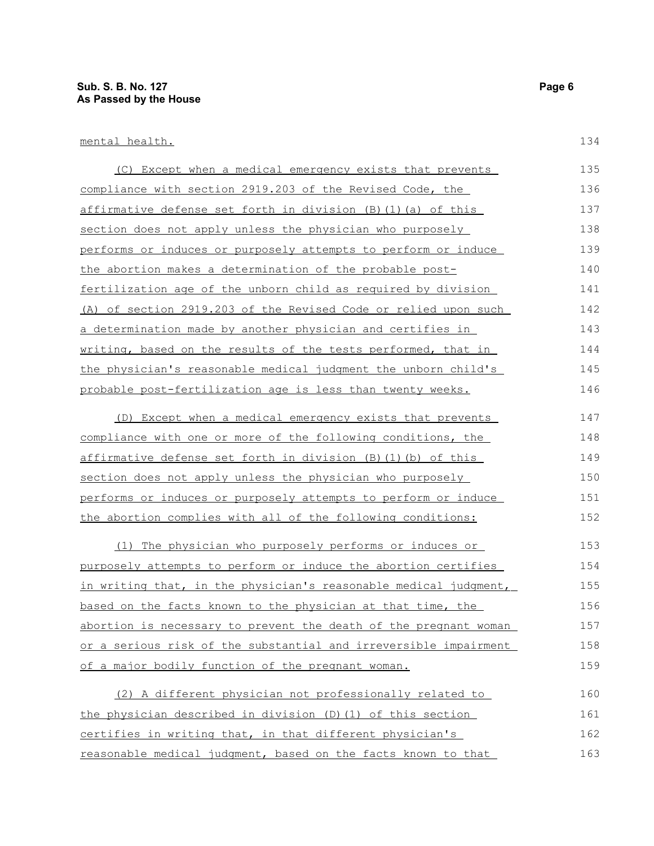## mental health.

| (C) Except when a medical emergency exists that prevents         | 135 |
|------------------------------------------------------------------|-----|
| compliance with section 2919.203 of the Revised Code, the        | 136 |
| affirmative defense set forth in division (B)(1)(a) of this      | 137 |
| section does not apply unless the physician who purposely        | 138 |
| performs or induces or purposely attempts to perform or induce   | 139 |
| the abortion makes a determination of the probable post-         | 140 |
| fertilization age of the unborn child as required by division    | 141 |
| (A) of section 2919.203 of the Revised Code or relied upon such  | 142 |
| a determination made by another physician and certifies in       | 143 |
| writing, based on the results of the tests performed, that in    | 144 |
| the physician's reasonable medical judgment the unborn child's   | 145 |
| probable post-fertilization age is less than twenty weeks.       | 146 |
| (D) Except when a medical emergency exists that prevents         | 147 |
| compliance with one or more of the following conditions, the     | 148 |
| affirmative defense set forth in division (B) (1) (b) of this    | 149 |
| section does not apply unless the physician who purposely        | 150 |
| performs or induces or purposely attempts to perform or induce   | 151 |
| the abortion complies with all of the following conditions:      | 152 |
| The physician who purposely performs or induces or<br>(1)        | 153 |
| purposely attempts to perform or induce the abortion certifies   | 154 |
| in writing that, in the physician's reasonable medical judgment, | 155 |
| based on the facts known to the physician at that time, the      | 156 |
| abortion is necessary to prevent the death of the pregnant woman | 157 |
| or a serious risk of the substantial and irreversible impairment | 158 |
| of a major bodily function of the pregnant woman.                | 159 |
| (2) A different physician not professionally related to          | 160 |
| the physician described in division (D) (1) of this section      | 161 |
| certifies in writing that, in that different physician's         | 162 |
| reasonable medical judgment, based on the facts known to that    | 163 |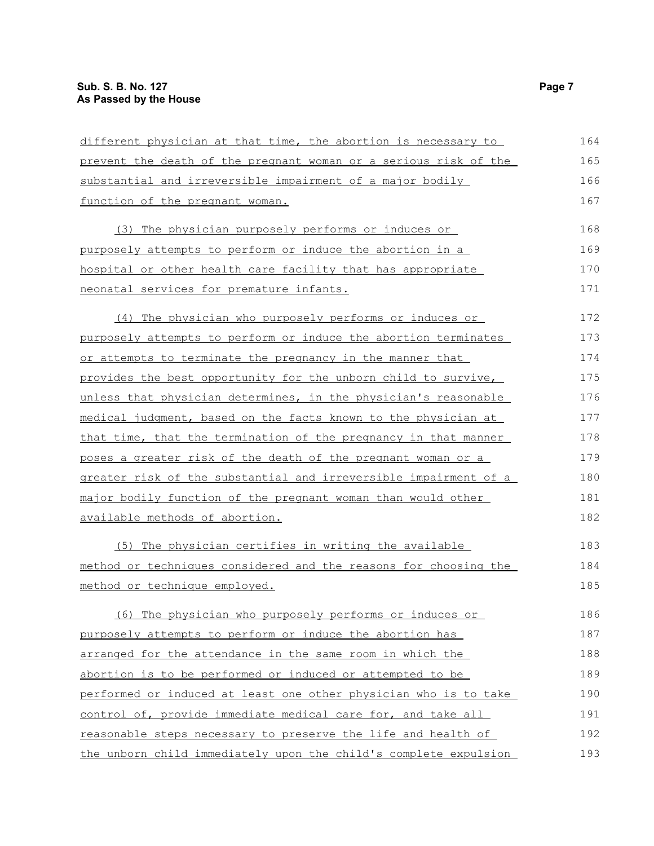| different physician at that time, the abortion is necessary to          | 164 |
|-------------------------------------------------------------------------|-----|
| prevent the death of the pregnant woman or a serious risk of the        | 165 |
| substantial and irreversible impairment of a major bodily               | 166 |
| function of the pregnant woman.                                         | 167 |
| (3) The physician purposely performs or induces or                      | 168 |
| purposely attempts to perform or induce the abortion in a               | 169 |
| hospital or other health care facility that has appropriate             | 170 |
| neonatal services for premature infants.                                | 171 |
| (4) The physician who purposely performs or induces or                  | 172 |
| purposely attempts to perform or induce the abortion terminates         | 173 |
| or attempts to terminate the pregnancy in the manner that               | 174 |
| provides the best opportunity for the unborn child to survive,          | 175 |
| unless that physician determines, in the physician's reasonable         | 176 |
| medical judgment, based on the facts known to the physician at          | 177 |
| that time, that the termination of the pregnancy in that manner         | 178 |
| poses a greater risk of the death of the pregnant woman or a            | 179 |
| <u>greater risk of the substantial and irreversible impairment of a</u> | 180 |
| major bodily function of the pregnant woman than would other            | 181 |
| available methods of abortion.                                          | 182 |
| (5) The physician certifies in writing the available                    | 183 |
| method or techniques considered and the reasons for choosing the        | 184 |
| method or technique employed.                                           | 185 |
| (6) The physician who purposely performs or induces or                  | 186 |
| purposely attempts to perform or induce the abortion has                | 187 |
| arranged for the attendance in the same room in which the               | 188 |
| abortion is to be performed or induced or attempted to be               | 189 |
| performed or induced at least one other physician who is to take        | 190 |
| control of, provide immediate medical care for, and take all            | 191 |
| reasonable steps necessary to preserve the life and health of           | 192 |
| the unborn child immediately upon the child's complete expulsion        | 193 |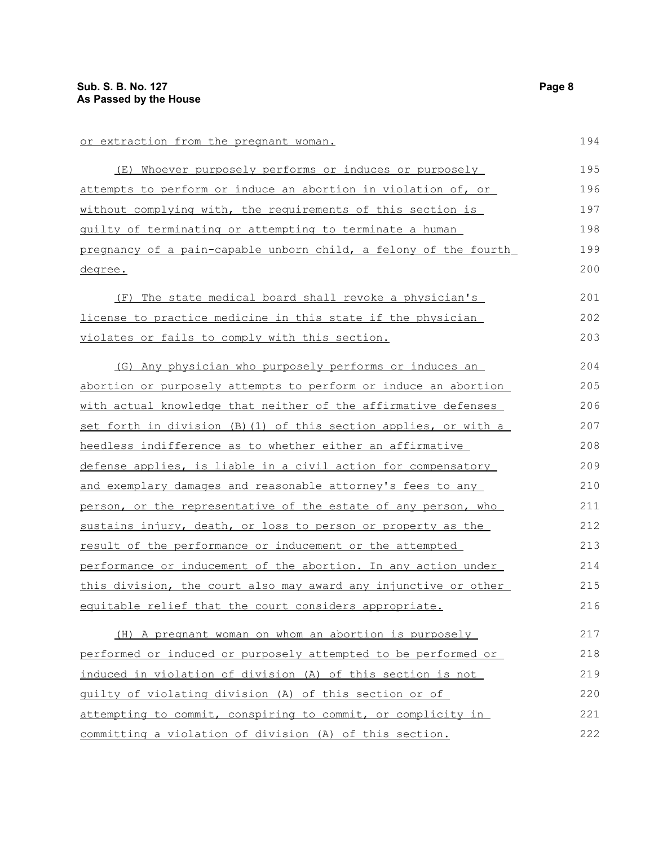| or extraction from the pregnant woman.                                 | 194 |
|------------------------------------------------------------------------|-----|
| (E) Whoever purposely performs or induces or purposely                 | 195 |
| attempts to perform or induce an abortion in violation of, or          | 196 |
| without complying with, the requirements of this section is            | 197 |
| quilty of terminating or attempting to terminate a human               | 198 |
| pregnancy of a pain-capable unborn child, a felony of the fourth       | 199 |
| degree.                                                                | 200 |
| (F) The state medical board shall revoke a physician's                 | 201 |
| license to practice medicine in this state if the physician            | 202 |
| <u>violates or fails to comply with this section.</u>                  | 203 |
| (G) Any physician who purposely performs or induces an                 | 204 |
| <u>abortion or purposely attempts to perform or induce an abortion</u> | 205 |
| with actual knowledge that neither of the affirmative defenses         | 206 |
| set forth in division (B) (1) of this section applies, or with a       | 207 |
| <u>heedless indifference as to whether either an affirmative </u>      | 208 |
| <u>defense applies, is liable in a civil action for compensatory </u>  | 209 |
| <u>and exemplary damages and reasonable attorney's fees to any </u>    | 210 |
| person, or the representative of the estate of any person, who         | 211 |
| sustains injury, death, or loss to person or property as the           | 212 |
| result of the performance or inducement or the attempted               | 213 |
| performance or inducement of the abortion. In any action under         | 214 |
| this division, the court also may award any injunctive or other        | 215 |
| equitable relief that the court considers appropriate.                 | 216 |
| (H) A pregnant woman on whom an abortion is purposely                  | 217 |
| performed or induced or purposely attempted to be performed or         | 218 |
| induced in violation of division (A) of this section is not            | 219 |
| quilty of violating division (A) of this section or of                 | 220 |

attempting to commit, conspiring to commit, or complicity in

committing a violation of division (A) of this section.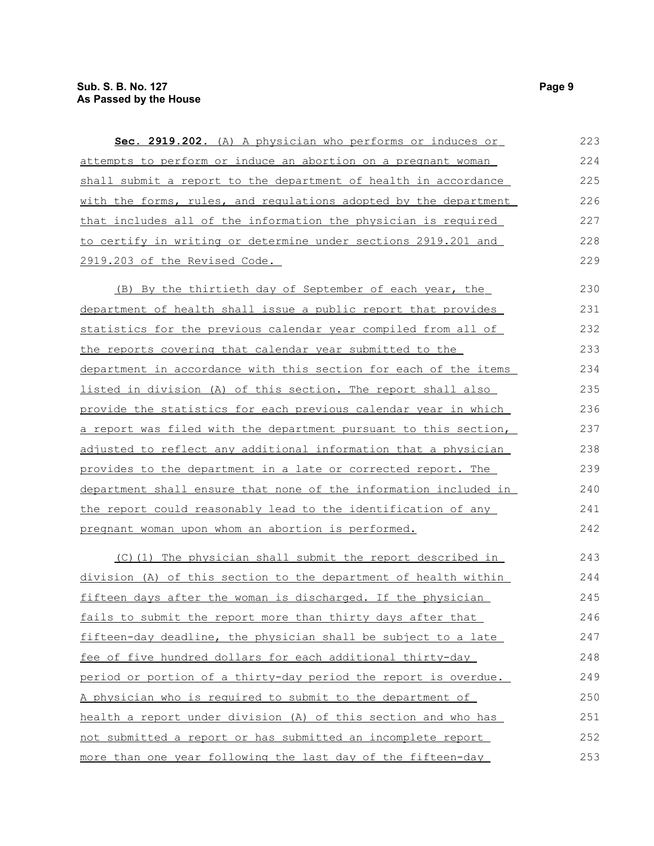| Sec. 2919.202. (A) A physician who performs or induces or               | 223 |
|-------------------------------------------------------------------------|-----|
| attempts to perform or induce an abortion on a pregnant woman           | 224 |
| shall submit a report to the department of health in accordance         | 225 |
| with the forms, rules, and regulations adopted by the department        | 226 |
| that includes all of the information the physician is required          | 227 |
| to certify in writing or determine under sections 2919.201 and          | 228 |
| 2919.203 of the Revised Code.                                           | 229 |
| (B) By the thirtieth day of September of each year, the                 | 230 |
| department of health shall issue a public report that provides          | 231 |
| statistics for the previous calendar year compiled from all of          | 232 |
| the reports covering that calendar year submitted to the                | 233 |
| <u>department in accordance with this section for each of the items</u> | 234 |
| listed in division (A) of this section. The report shall also           | 235 |
| provide the statistics for each previous calendar year in which         | 236 |
| a report was filed with the department pursuant to this section,        | 237 |
| adjusted to reflect any additional information that a physician         | 238 |
| provides to the department in a late or corrected report. The           | 239 |
| department shall ensure that none of the information included in        | 240 |
| the report could reasonably lead to the identification of any           | 241 |
| pregnant woman upon whom an abortion is performed.                      | 242 |
| (C)(1) The physician shall submit the report described in               | 243 |
| division (A) of this section to the department of health within         | 244 |
| fifteen days after the woman is discharged. If the physician            | 245 |
| fails to submit the report more than thirty days after that             | 246 |
| fifteen-day deadline, the physician shall be subject to a late          | 247 |
| fee of five hundred dollars for each additional thirty-day              | 248 |
| period or portion of a thirty-day period the report is overdue.         | 249 |
| A physician who is required to submit to the department of              | 250 |
| health a report under division (A) of this section and who has          | 251 |
| not submitted a report or has submitted an incomplete report            | 252 |
| more than one year following the last day of the fifteen-day            | 253 |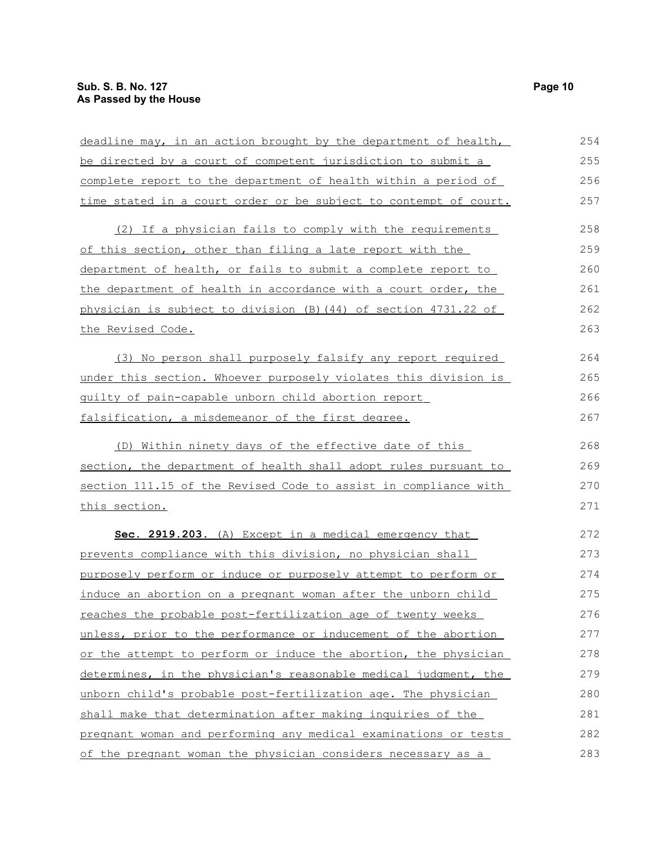| deadline may, in an action brought by the department of health,  | 254 |
|------------------------------------------------------------------|-----|
| be directed by a court of competent jurisdiction to submit a     | 255 |
| complete report to the department of health within a period of   | 256 |
| time stated in a court order or be subject to contempt of court. | 257 |
| (2) If a physician fails to comply with the requirements         | 258 |
| of this section, other than filing a late report with the        | 259 |
| department of health, or fails to submit a complete report to    | 260 |
| the department of health in accordance with a court order, the   | 261 |
| physician is subject to division (B) (44) of section 4731.22 of  | 262 |
| the Revised Code.                                                | 263 |
| (3) No person shall purposely falsify any report required        | 264 |
| under this section. Whoever purposely violates this division is  | 265 |
| guilty of pain-capable unborn child abortion report              | 266 |
| falsification, a misdemeanor of the first degree.                | 267 |
| (D) Within ninety days of the effective date of this             | 268 |
| section, the department of health shall adopt rules pursuant to  | 269 |
| section 111.15 of the Revised Code to assist in compliance with  | 270 |
| this section.                                                    | 271 |
| Sec. 2919.203. (A) Except in a medical emergency that            | 272 |
| prevents compliance with this division, no physician shall       | 273 |
| purposely perform or induce or purposely attempt to perform or   | 274 |
| induce an abortion on a pregnant woman after the unborn child    | 275 |
| reaches the probable post-fertilization age of twenty weeks      | 276 |
| unless, prior to the performance or inducement of the abortion   | 277 |
| or the attempt to perform or induce the abortion, the physician  | 278 |
| determines, in the physician's reasonable medical judgment, the  | 279 |
| unborn child's probable post-fertilization age. The physician    | 280 |
| shall make that determination after making inquiries of the      | 281 |
| pregnant woman and performing any medical examinations or tests  | 282 |
| of the pregnant woman the physician considers necessary as a     | 283 |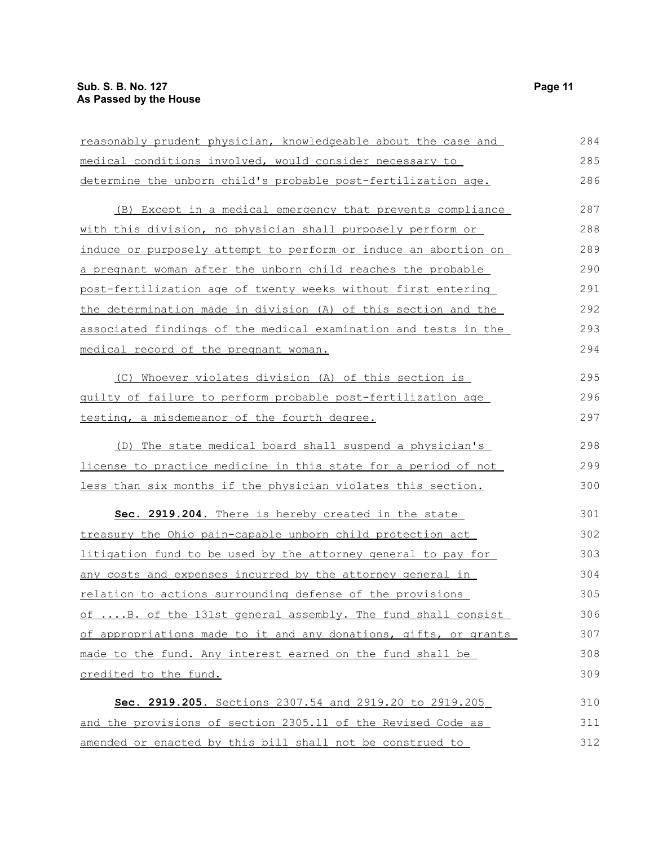| reasonably prudent physician, knowledgeable about the case and   | 284 |
|------------------------------------------------------------------|-----|
| medical conditions involved, would consider necessary to         | 285 |
| determine the unborn child's probable post-fertilization age.    | 286 |
| (B) Except in a medical emergency that prevents compliance       | 287 |
| with this division, no physician shall purposely perform or      | 288 |
| induce or purposely attempt to perform or induce an abortion on  | 289 |
| a pregnant woman after the unborn child reaches the probable     | 290 |
| post-fertilization age of twenty weeks without first entering    | 291 |
| the determination made in division (A) of this section and the   | 292 |
| associated findings of the medical examination and tests in the  | 293 |
| medical record of the pregnant woman.                            | 294 |
| (C) Whoever violates division (A) of this section is             | 295 |
| guilty of failure to perform probable post-fertilization age     | 296 |
| testing, a misdemeanor of the fourth degree.                     | 297 |
| (D) The state medical board shall suspend a physician's          | 298 |
| license to practice medicine in this state for a period of not   | 299 |
| less than six months if the physician violates this section.     | 300 |
| Sec. 2919.204. There is hereby created in the state              | 301 |
| treasury the Ohio pain-capable unborn child protection act       | 302 |
| litigation fund to be used by the attorney general to pay for    | 303 |
| any costs and expenses incurred by the attorney general in       | 304 |
| relation to actions surrounding defense of the provisions        | 305 |
| of B. of the 131st general assembly. The fund shall consist      | 306 |
| of appropriations made to it and any donations, gifts, or grants | 307 |
| made to the fund. Any interest earned on the fund shall be       | 308 |
| credited to the fund.                                            | 309 |
| Sec. 2919.205. Sections 2307.54 and 2919.20 to 2919.205          | 310 |
| and the provisions of section 2305.11 of the Revised Code as     | 311 |
| amended or enacted by this bill shall not be construed to        | 312 |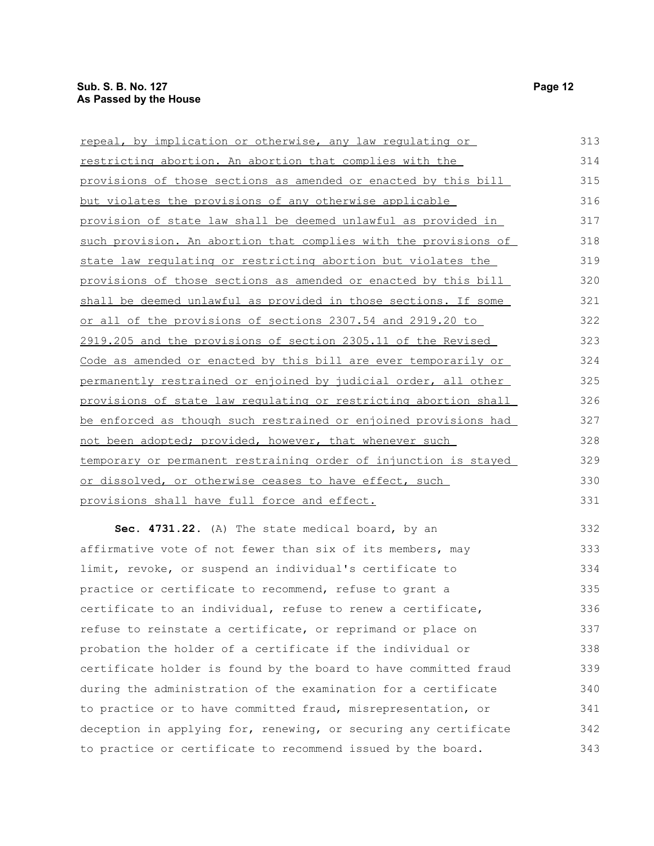| repeal, by implication or otherwise, any law regulating or              | 313 |
|-------------------------------------------------------------------------|-----|
| restricting abortion. An abortion that complies with the                | 314 |
| provisions of those sections as amended or enacted by this bill         | 315 |
| but violates the provisions of any otherwise applicable                 | 316 |
| provision of state law shall be deemed unlawful as provided in          | 317 |
| such provision. An abortion that complies with the provisions of        | 318 |
| state law regulating or restricting abortion but violates the           | 319 |
| provisions of those sections as amended or enacted by this bill         | 320 |
| shall be deemed unlawful as provided in those sections. If some         | 321 |
| or all of the provisions of sections 2307.54 and 2919.20 to             | 322 |
| 2919.205 and the provisions of section 2305.11 of the Revised           | 323 |
| <u>Code as amended or enacted by this bill are ever temporarily or </u> | 324 |
| permanently restrained or enjoined by judicial order, all other         | 325 |
| provisions of state law regulating or restricting abortion shall        | 326 |
| be enforced as though such restrained or enjoined provisions had        | 327 |
| not been adopted; provided, however, that whenever such                 | 328 |
| temporary or permanent restraining order of injunction is stayed        | 329 |
| or dissolved, or otherwise ceases to have effect, such                  | 330 |
| provisions shall have full force and effect.                            | 331 |
| Sec. 4731.22. (A) The state medical board, by an                        | 332 |

affirmative vote of not fewer than six of its members, may limit, revoke, or suspend an individual's certificate to practice or certificate to recommend, refuse to grant a certificate to an individual, refuse to renew a certificate, refuse to reinstate a certificate, or reprimand or place on probation the holder of a certificate if the individual or certificate holder is found by the board to have committed fraud during the administration of the examination for a certificate to practice or to have committed fraud, misrepresentation, or deception in applying for, renewing, or securing any certificate to practice or certificate to recommend issued by the board. 333 334 335 336 337 338 339 340 341 342 343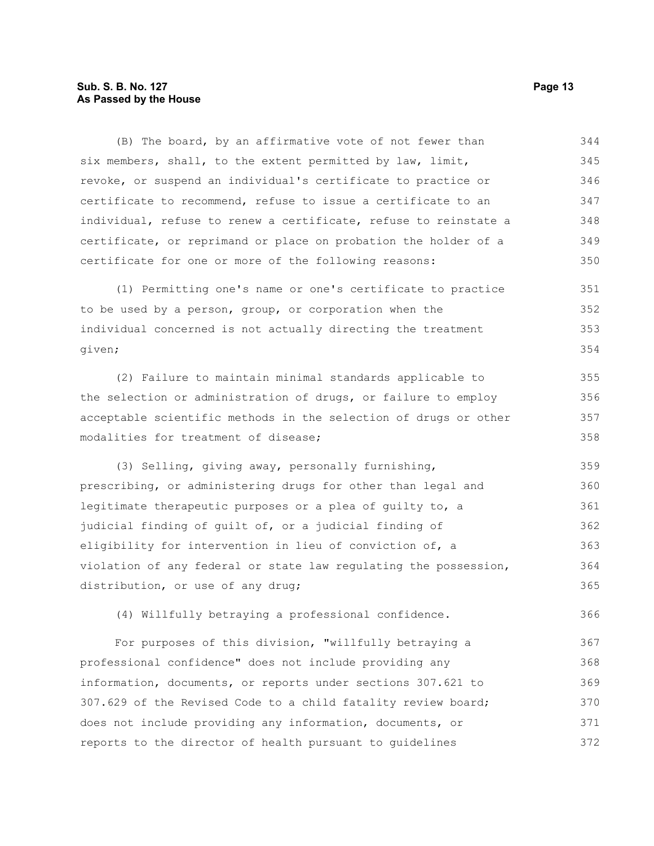#### **Sub. S. B. No. 127 Page 13 As Passed by the House**

(B) The board, by an affirmative vote of not fewer than six members, shall, to the extent permitted by law, limit, revoke, or suspend an individual's certificate to practice or certificate to recommend, refuse to issue a certificate to an individual, refuse to renew a certificate, refuse to reinstate a certificate, or reprimand or place on probation the holder of a certificate for one or more of the following reasons: 344 345 346 347 348 349 350

(1) Permitting one's name or one's certificate to practice to be used by a person, group, or corporation when the individual concerned is not actually directing the treatment given; 351 352 353 354

(2) Failure to maintain minimal standards applicable to the selection or administration of drugs, or failure to employ acceptable scientific methods in the selection of drugs or other modalities for treatment of disease; 355 356 357 358

(3) Selling, giving away, personally furnishing, prescribing, or administering drugs for other than legal and legitimate therapeutic purposes or a plea of guilty to, a judicial finding of guilt of, or a judicial finding of eligibility for intervention in lieu of conviction of, a violation of any federal or state law regulating the possession, distribution, or use of any drug; 359 360 361 362 363 364 365

(4) Willfully betraying a professional confidence. 366

For purposes of this division, "willfully betraying a professional confidence" does not include providing any information, documents, or reports under sections 307.621 to 307.629 of the Revised Code to a child fatality review board; does not include providing any information, documents, or reports to the director of health pursuant to guidelines 367 368 369 370 371 372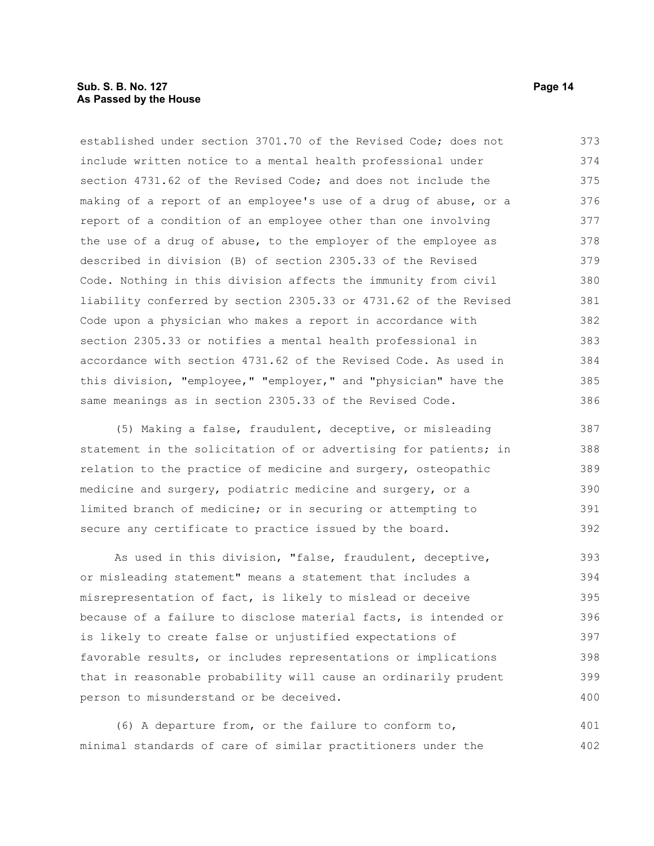#### **Sub. S. B. No. 127 Page 14 As Passed by the House**

established under section 3701.70 of the Revised Code; does not include written notice to a mental health professional under section 4731.62 of the Revised Code; and does not include the making of a report of an employee's use of a drug of abuse, or a report of a condition of an employee other than one involving the use of a drug of abuse, to the employer of the employee as described in division (B) of section 2305.33 of the Revised Code. Nothing in this division affects the immunity from civil liability conferred by section 2305.33 or 4731.62 of the Revised Code upon a physician who makes a report in accordance with section 2305.33 or notifies a mental health professional in accordance with section 4731.62 of the Revised Code. As used in this division, "employee," "employer," and "physician" have the same meanings as in section 2305.33 of the Revised Code. 373 374 375 376 377 378 379 380 381 382 383 384 385 386

(5) Making a false, fraudulent, deceptive, or misleading statement in the solicitation of or advertising for patients; in relation to the practice of medicine and surgery, osteopathic medicine and surgery, podiatric medicine and surgery, or a limited branch of medicine; or in securing or attempting to secure any certificate to practice issued by the board. 387 388 389 390 391 392

As used in this division, "false, fraudulent, deceptive, or misleading statement" means a statement that includes a misrepresentation of fact, is likely to mislead or deceive because of a failure to disclose material facts, is intended or is likely to create false or unjustified expectations of favorable results, or includes representations or implications that in reasonable probability will cause an ordinarily prudent person to misunderstand or be deceived. 393 394 395 396 397 398 399 400

(6) A departure from, or the failure to conform to, minimal standards of care of similar practitioners under the 401 402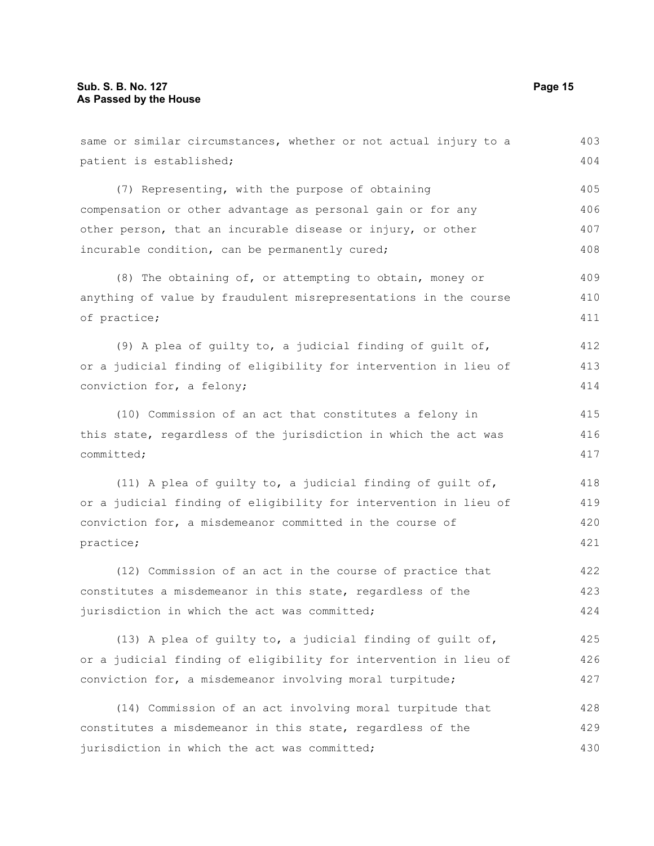same or similar circumstances, whether or not actual injury to a patient is established; (7) Representing, with the purpose of obtaining compensation or other advantage as personal gain or for any other person, that an incurable disease or injury, or other incurable condition, can be permanently cured; (8) The obtaining of, or attempting to obtain, money or anything of value by fraudulent misrepresentations in the course of practice; (9) A plea of guilty to, a judicial finding of guilt of, or a judicial finding of eligibility for intervention in lieu of conviction for, a felony; (10) Commission of an act that constitutes a felony in this state, regardless of the jurisdiction in which the act was committed; (11) A plea of guilty to, a judicial finding of guilt of, or a judicial finding of eligibility for intervention in lieu of conviction for, a misdemeanor committed in the course of practice; (12) Commission of an act in the course of practice that constitutes a misdemeanor in this state, regardless of the jurisdiction in which the act was committed; (13) A plea of guilty to, a judicial finding of guilt of, or a judicial finding of eligibility for intervention in lieu of conviction for, a misdemeanor involving moral turpitude; (14) Commission of an act involving moral turpitude that constitutes a misdemeanor in this state, regardless of the jurisdiction in which the act was committed; 403 404 405 406 407 408 409 410 411 412 413 414 415 416 417 418 419 420 421 422 423 424 425 426 427 428 429 430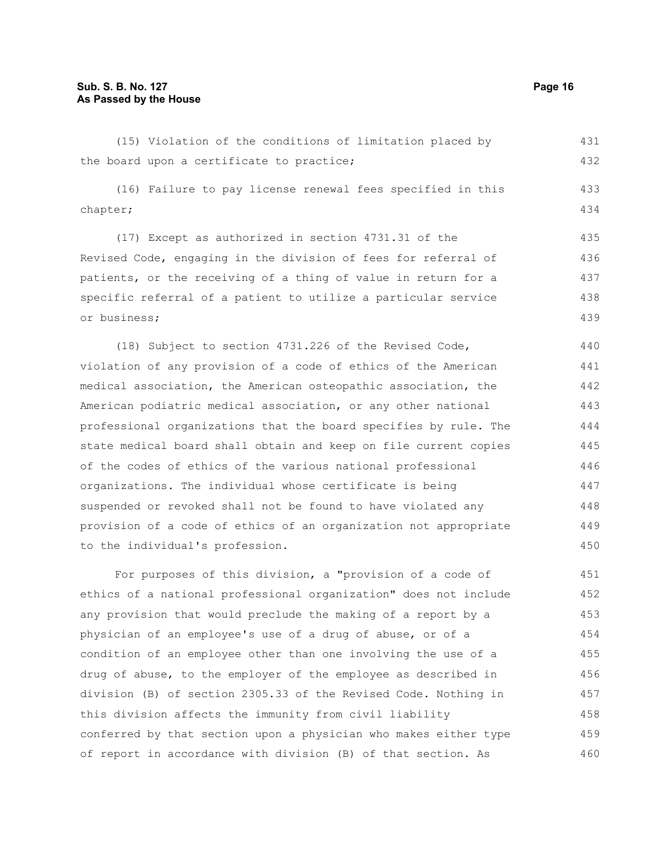(15) Violation of the conditions of limitation placed by the board upon a certificate to practice; (16) Failure to pay license renewal fees specified in this

chapter;

(17) Except as authorized in section 4731.31 of the Revised Code, engaging in the division of fees for referral of patients, or the receiving of a thing of value in return for a specific referral of a patient to utilize a particular service or business; 435 436 437 438 439

(18) Subject to section 4731.226 of the Revised Code, violation of any provision of a code of ethics of the American medical association, the American osteopathic association, the American podiatric medical association, or any other national professional organizations that the board specifies by rule. The state medical board shall obtain and keep on file current copies of the codes of ethics of the various national professional organizations. The individual whose certificate is being suspended or revoked shall not be found to have violated any provision of a code of ethics of an organization not appropriate to the individual's profession. 440 441 442 443 444 445 446 447 448 449 450

For purposes of this division, a "provision of a code of ethics of a national professional organization" does not include any provision that would preclude the making of a report by a physician of an employee's use of a drug of abuse, or of a condition of an employee other than one involving the use of a drug of abuse, to the employer of the employee as described in division (B) of section 2305.33 of the Revised Code. Nothing in this division affects the immunity from civil liability conferred by that section upon a physician who makes either type of report in accordance with division (B) of that section. As 451 452 453 454 455 456 457 458 459 460

431 432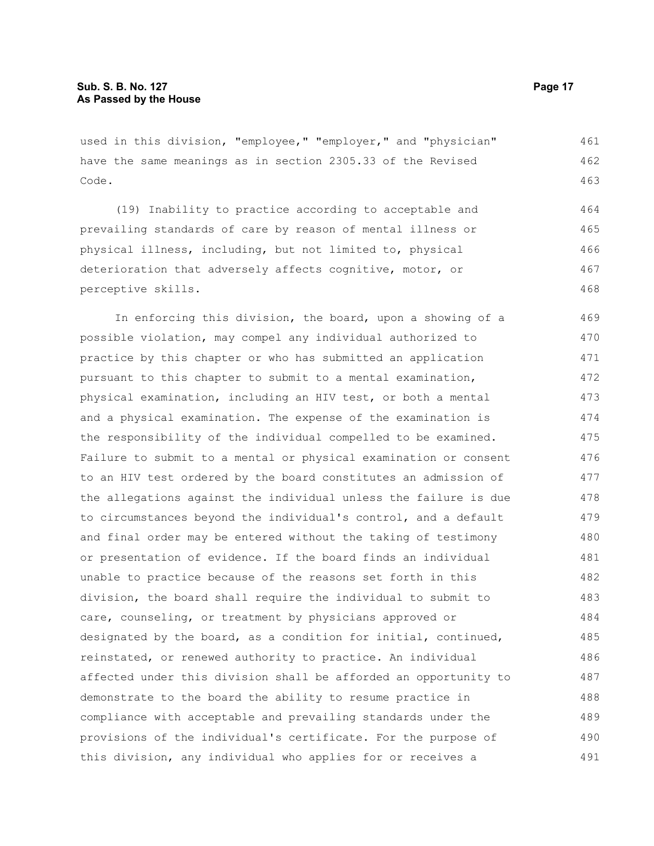used in this division, "employee," "employer," and "physician" have the same meanings as in section 2305.33 of the Revised Code.

(19) Inability to practice according to acceptable and prevailing standards of care by reason of mental illness or physical illness, including, but not limited to, physical deterioration that adversely affects cognitive, motor, or perceptive skills. 464 465 466 467 468

In enforcing this division, the board, upon a showing of a possible violation, may compel any individual authorized to practice by this chapter or who has submitted an application pursuant to this chapter to submit to a mental examination, physical examination, including an HIV test, or both a mental and a physical examination. The expense of the examination is the responsibility of the individual compelled to be examined. Failure to submit to a mental or physical examination or consent to an HIV test ordered by the board constitutes an admission of the allegations against the individual unless the failure is due to circumstances beyond the individual's control, and a default and final order may be entered without the taking of testimony or presentation of evidence. If the board finds an individual unable to practice because of the reasons set forth in this division, the board shall require the individual to submit to care, counseling, or treatment by physicians approved or designated by the board, as a condition for initial, continued, reinstated, or renewed authority to practice. An individual affected under this division shall be afforded an opportunity to demonstrate to the board the ability to resume practice in compliance with acceptable and prevailing standards under the provisions of the individual's certificate. For the purpose of this division, any individual who applies for or receives a 469 470 471 472 473 474 475 476 477 478 479 480 481 482 483 484 485 486 487 488 489 490 491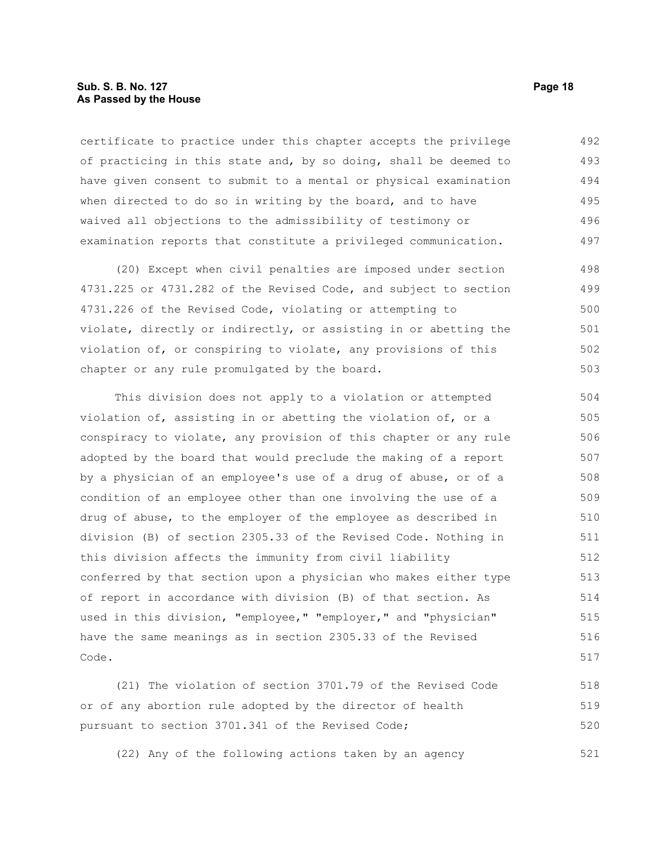#### **Sub. S. B. No. 127 Page 18 As Passed by the House**

certificate to practice under this chapter accepts the privilege of practicing in this state and, by so doing, shall be deemed to have given consent to submit to a mental or physical examination when directed to do so in writing by the board, and to have waived all objections to the admissibility of testimony or examination reports that constitute a privileged communication. 492 493 494 495 496 497

(20) Except when civil penalties are imposed under section 4731.225 or 4731.282 of the Revised Code, and subject to section 4731.226 of the Revised Code, violating or attempting to violate, directly or indirectly, or assisting in or abetting the violation of, or conspiring to violate, any provisions of this chapter or any rule promulgated by the board. 498 499 500 501 502 503

This division does not apply to a violation or attempted violation of, assisting in or abetting the violation of, or a conspiracy to violate, any provision of this chapter or any rule adopted by the board that would preclude the making of a report by a physician of an employee's use of a drug of abuse, or of a condition of an employee other than one involving the use of a drug of abuse, to the employer of the employee as described in division (B) of section 2305.33 of the Revised Code. Nothing in this division affects the immunity from civil liability conferred by that section upon a physician who makes either type of report in accordance with division (B) of that section. As used in this division, "employee," "employer," and "physician" have the same meanings as in section 2305.33 of the Revised Code. 504 505 506 507 508 509 510 511 512 513 514 515 516 517

(21) The violation of section 3701.79 of the Revised Code or of any abortion rule adopted by the director of health pursuant to section 3701.341 of the Revised Code; 518 519 520

(22) Any of the following actions taken by an agency 521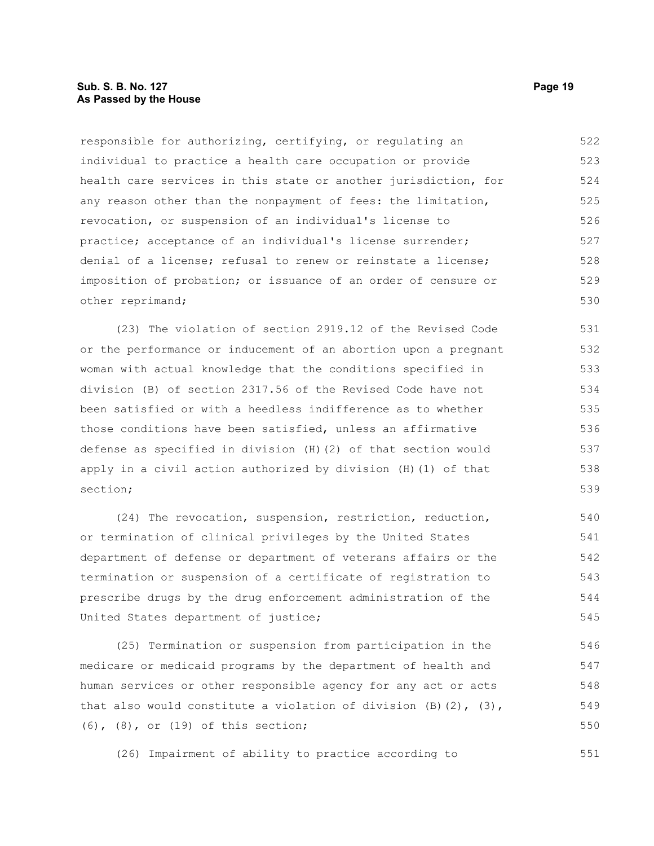responsible for authorizing, certifying, or regulating an individual to practice a health care occupation or provide health care services in this state or another jurisdiction, for any reason other than the nonpayment of fees: the limitation, revocation, or suspension of an individual's license to practice; acceptance of an individual's license surrender; denial of a license; refusal to renew or reinstate a license; imposition of probation; or issuance of an order of censure or other reprimand; 522 523 524 525 526 527 528 529 530

(23) The violation of section 2919.12 of the Revised Code or the performance or inducement of an abortion upon a pregnant woman with actual knowledge that the conditions specified in division (B) of section 2317.56 of the Revised Code have not been satisfied or with a heedless indifference as to whether those conditions have been satisfied, unless an affirmative defense as specified in division (H)(2) of that section would apply in a civil action authorized by division (H)(1) of that section; 531 532 533 534 535 536 537 538 539

(24) The revocation, suspension, restriction, reduction, or termination of clinical privileges by the United States department of defense or department of veterans affairs or the termination or suspension of a certificate of registration to prescribe drugs by the drug enforcement administration of the United States department of justice; 540 541 542 543 544 545

(25) Termination or suspension from participation in the medicare or medicaid programs by the department of health and human services or other responsible agency for any act or acts that also would constitute a violation of division  $(B)$   $(2)$ ,  $(3)$ , (6), (8), or (19) of this section; 546 547 548 549 550

(26) Impairment of ability to practice according to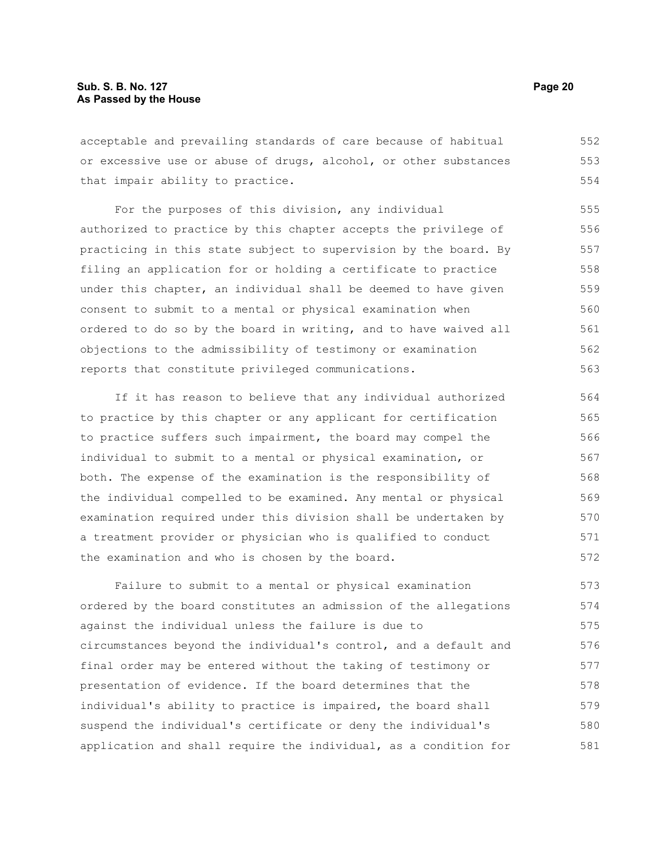acceptable and prevailing standards of care because of habitual or excessive use or abuse of drugs, alcohol, or other substances that impair ability to practice. 552 553 554

For the purposes of this division, any individual authorized to practice by this chapter accepts the privilege of practicing in this state subject to supervision by the board. By filing an application for or holding a certificate to practice under this chapter, an individual shall be deemed to have given consent to submit to a mental or physical examination when ordered to do so by the board in writing, and to have waived all objections to the admissibility of testimony or examination reports that constitute privileged communications. 555 556 557 558 559 560 561 562 563

If it has reason to believe that any individual authorized to practice by this chapter or any applicant for certification to practice suffers such impairment, the board may compel the individual to submit to a mental or physical examination, or both. The expense of the examination is the responsibility of the individual compelled to be examined. Any mental or physical examination required under this division shall be undertaken by a treatment provider or physician who is qualified to conduct the examination and who is chosen by the board. 564 565 566 567 568 569 570 571 572

Failure to submit to a mental or physical examination ordered by the board constitutes an admission of the allegations against the individual unless the failure is due to circumstances beyond the individual's control, and a default and final order may be entered without the taking of testimony or presentation of evidence. If the board determines that the individual's ability to practice is impaired, the board shall suspend the individual's certificate or deny the individual's application and shall require the individual, as a condition for 573 574 575 576 577 578 579 580 581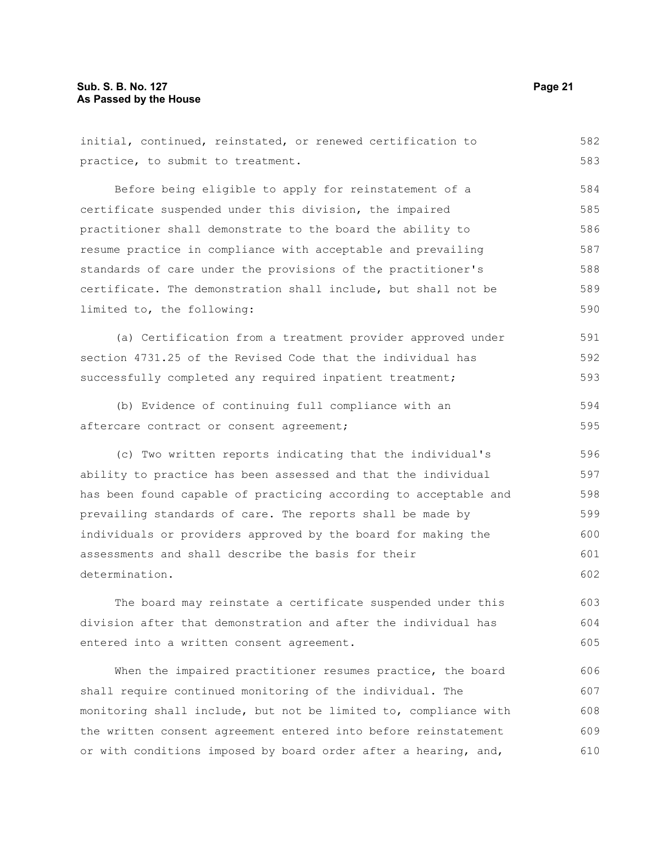#### **Sub. S. B. No. 127 Page 21 As Passed by the House**

initial, continued, reinstated, or renewed certification to practice, to submit to treatment. Before being eligible to apply for reinstatement of a certificate suspended under this division, the impaired practitioner shall demonstrate to the board the ability to resume practice in compliance with acceptable and prevailing standards of care under the provisions of the practitioner's certificate. The demonstration shall include, but shall not be limited to, the following: (a) Certification from a treatment provider approved under section 4731.25 of the Revised Code that the individual has successfully completed any required inpatient treatment; (b) Evidence of continuing full compliance with an aftercare contract or consent agreement; (c) Two written reports indicating that the individual's ability to practice has been assessed and that the individual has been found capable of practicing according to acceptable and prevailing standards of care. The reports shall be made by individuals or providers approved by the board for making the assessments and shall describe the basis for their determination. The board may reinstate a certificate suspended under this division after that demonstration and after the individual has entered into a written consent agreement. 582 583 584 585 586 587 588 589 590 591 592 593 594 595 596 597 598 599 600 601 602 603 604 605

When the impaired practitioner resumes practice, the board shall require continued monitoring of the individual. The monitoring shall include, but not be limited to, compliance with the written consent agreement entered into before reinstatement or with conditions imposed by board order after a hearing, and, 606 607 608 609 610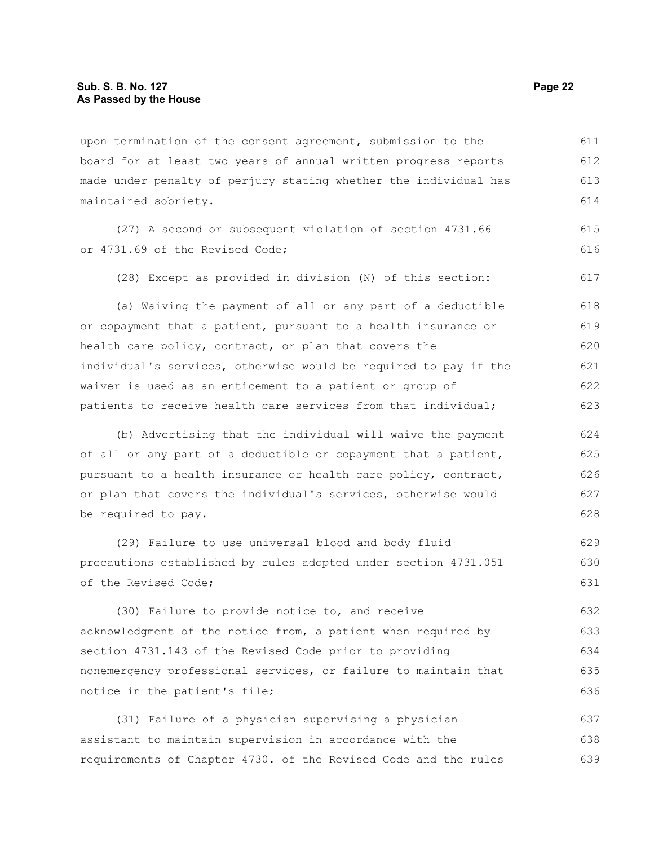upon termination of the consent agreement, submission to the board for at least two years of annual written progress reports made under penalty of perjury stating whether the individual has maintained sobriety. (27) A second or subsequent violation of section 4731.66 or 4731.69 of the Revised Code; (28) Except as provided in division (N) of this section: (a) Waiving the payment of all or any part of a deductible or copayment that a patient, pursuant to a health insurance or health care policy, contract, or plan that covers the individual's services, otherwise would be required to pay if the waiver is used as an enticement to a patient or group of patients to receive health care services from that individual; (b) Advertising that the individual will waive the payment of all or any part of a deductible or copayment that a patient, pursuant to a health insurance or health care policy, contract, or plan that covers the individual's services, otherwise would be required to pay. (29) Failure to use universal blood and body fluid precautions established by rules adopted under section 4731.051 of the Revised Code; (30) Failure to provide notice to, and receive acknowledgment of the notice from, a patient when required by section 4731.143 of the Revised Code prior to providing nonemergency professional services, or failure to maintain that notice in the patient's file; (31) Failure of a physician supervising a physician 611 612 613 614 615 616 617 618 619 620 621 622 623 624 625 626 627 628 629 630 631 632 633 634 635 636 637

assistant to maintain supervision in accordance with the requirements of Chapter 4730. of the Revised Code and the rules 638 639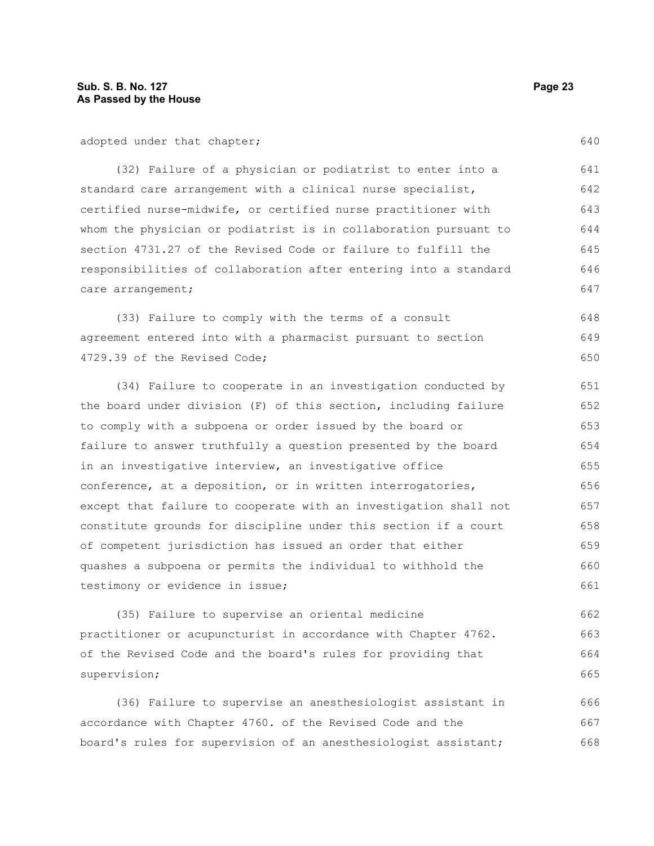adopted under that chapter;

(32) Failure of a physician or podiatrist to enter into a standard care arrangement with a clinical nurse specialist, certified nurse-midwife, or certified nurse practitioner with whom the physician or podiatrist is in collaboration pursuant to section 4731.27 of the Revised Code or failure to fulfill the responsibilities of collaboration after entering into a standard care arrangement; 641 642 643 644 645 646 647

(33) Failure to comply with the terms of a consult agreement entered into with a pharmacist pursuant to section 4729.39 of the Revised Code; 648 649 650

(34) Failure to cooperate in an investigation conducted by the board under division (F) of this section, including failure to comply with a subpoena or order issued by the board or failure to answer truthfully a question presented by the board in an investigative interview, an investigative office conference, at a deposition, or in written interrogatories, except that failure to cooperate with an investigation shall not constitute grounds for discipline under this section if a court of competent jurisdiction has issued an order that either quashes a subpoena or permits the individual to withhold the testimony or evidence in issue; 651 652 653 654 655 656 657 658 659 660 661

(35) Failure to supervise an oriental medicine practitioner or acupuncturist in accordance with Chapter 4762. of the Revised Code and the board's rules for providing that supervision; 662 663 664 665

(36) Failure to supervise an anesthesiologist assistant in accordance with Chapter 4760. of the Revised Code and the board's rules for supervision of an anesthesiologist assistant; 666 667 668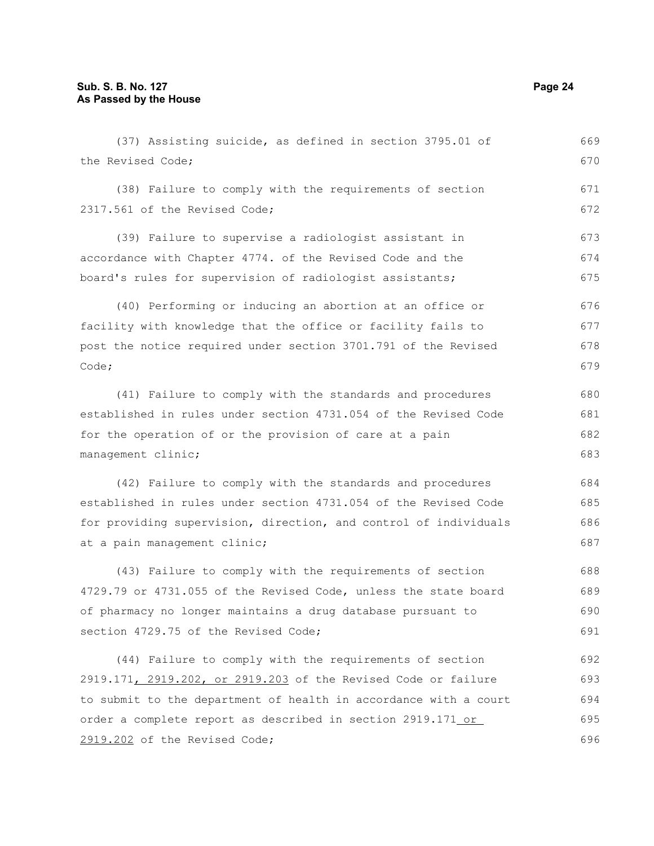(37) Assisting suicide, as defined in section 3795.01 of the Revised Code; (38) Failure to comply with the requirements of section 2317.561 of the Revised Code; (39) Failure to supervise a radiologist assistant in accordance with Chapter 4774. of the Revised Code and the board's rules for supervision of radiologist assistants; (40) Performing or inducing an abortion at an office or facility with knowledge that the office or facility fails to post the notice required under section 3701.791 of the Revised Code; (41) Failure to comply with the standards and procedures established in rules under section 4731.054 of the Revised Code for the operation of or the provision of care at a pain management clinic; (42) Failure to comply with the standards and procedures established in rules under section 4731.054 of the Revised Code for providing supervision, direction, and control of individuals at a pain management clinic; (43) Failure to comply with the requirements of section 4729.79 or 4731.055 of the Revised Code, unless the state board of pharmacy no longer maintains a drug database pursuant to section 4729.75 of the Revised Code; 669 670 671 672 673 674 675 676 677 678 679 680 681 682 683 684 685 686 687 688 689 690 691

(44) Failure to comply with the requirements of section 2919.171, 2919.202, or 2919.203 of the Revised Code or failure to submit to the department of health in accordance with a court order a complete report as described in section 2919.171 or 2919.202 of the Revised Code; 692 693 694 695 696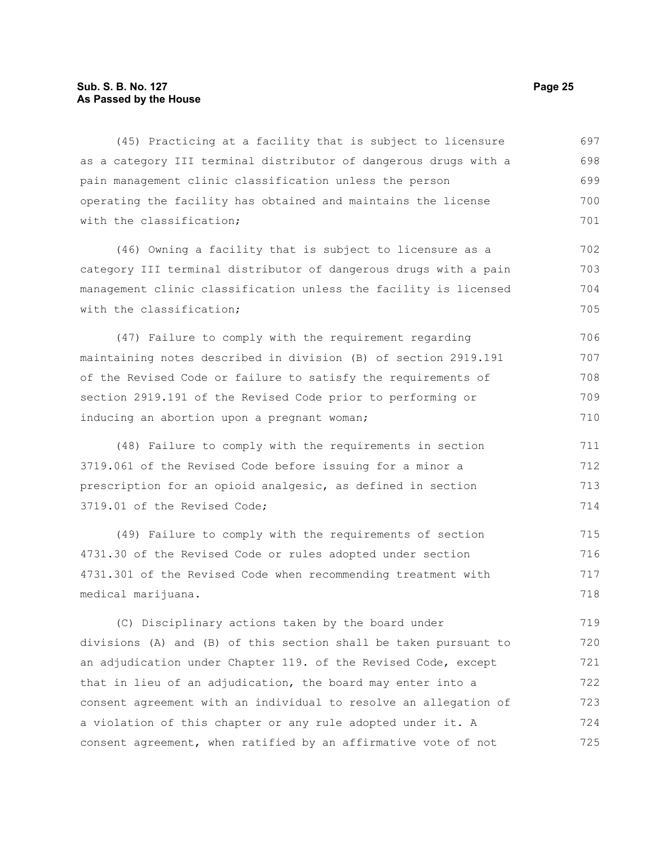#### **Sub. S. B. No. 127 Page 25 As Passed by the House**

(45) Practicing at a facility that is subject to licensure as a category III terminal distributor of dangerous drugs with a pain management clinic classification unless the person operating the facility has obtained and maintains the license with the classification: 697 698 699 700 701

(46) Owning a facility that is subject to licensure as a category III terminal distributor of dangerous drugs with a pain management clinic classification unless the facility is licensed with the classification: 702 703 704 705

(47) Failure to comply with the requirement regarding maintaining notes described in division (B) of section 2919.191 of the Revised Code or failure to satisfy the requirements of section 2919.191 of the Revised Code prior to performing or inducing an abortion upon a pregnant woman; 706 707 708 709 710

(48) Failure to comply with the requirements in section 3719.061 of the Revised Code before issuing for a minor a prescription for an opioid analgesic, as defined in section 3719.01 of the Revised Code; 711 712 713 714

(49) Failure to comply with the requirements of section 4731.30 of the Revised Code or rules adopted under section 4731.301 of the Revised Code when recommending treatment with medical marijuana. 715 716 717 718

(C) Disciplinary actions taken by the board under divisions (A) and (B) of this section shall be taken pursuant to an adjudication under Chapter 119. of the Revised Code, except that in lieu of an adjudication, the board may enter into a consent agreement with an individual to resolve an allegation of a violation of this chapter or any rule adopted under it. A consent agreement, when ratified by an affirmative vote of not 719 720 721 722 723 724 725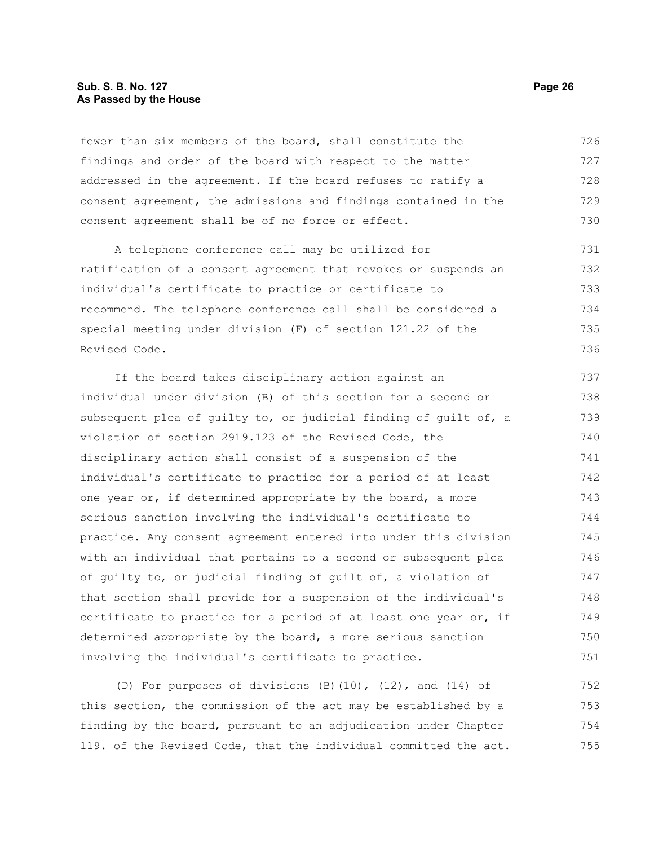#### **Sub. S. B. No. 127 Page 26 As Passed by the House**

fewer than six members of the board, shall constitute the findings and order of the board with respect to the matter addressed in the agreement. If the board refuses to ratify a consent agreement, the admissions and findings contained in the consent agreement shall be of no force or effect. 726 727 728 729 730

A telephone conference call may be utilized for ratification of a consent agreement that revokes or suspends an individual's certificate to practice or certificate to recommend. The telephone conference call shall be considered a special meeting under division (F) of section 121.22 of the Revised Code. 731 732 733 734 735 736

If the board takes disciplinary action against an individual under division (B) of this section for a second or subsequent plea of guilty to, or judicial finding of guilt of, a violation of section 2919.123 of the Revised Code, the disciplinary action shall consist of a suspension of the individual's certificate to practice for a period of at least one year or, if determined appropriate by the board, a more serious sanction involving the individual's certificate to practice. Any consent agreement entered into under this division with an individual that pertains to a second or subsequent plea of guilty to, or judicial finding of guilt of, a violation of that section shall provide for a suspension of the individual's certificate to practice for a period of at least one year or, if determined appropriate by the board, a more serious sanction involving the individual's certificate to practice. 737 738 739 740 741 742 743 744 745 746 747 748 749 750 751

(D) For purposes of divisions  $(B)(10)$ ,  $(12)$ , and  $(14)$  of this section, the commission of the act may be established by a finding by the board, pursuant to an adjudication under Chapter 119. of the Revised Code, that the individual committed the act. 752 753 754 755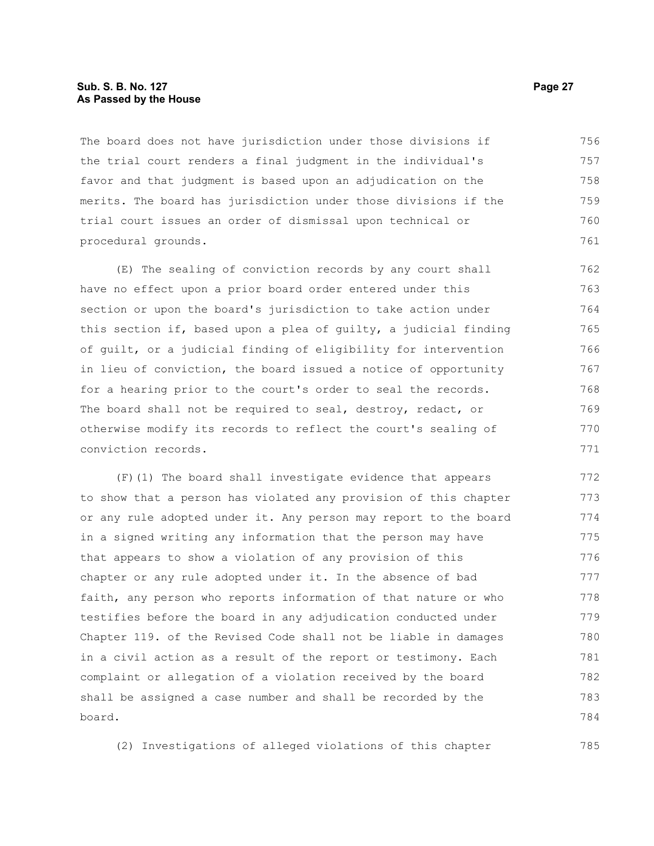#### **Sub. S. B. No. 127 Page 27 As Passed by the House**

The board does not have jurisdiction under those divisions if the trial court renders a final judgment in the individual's favor and that judgment is based upon an adjudication on the merits. The board has jurisdiction under those divisions if the trial court issues an order of dismissal upon technical or procedural grounds. 756 757 758 759 760 761

(E) The sealing of conviction records by any court shall have no effect upon a prior board order entered under this section or upon the board's jurisdiction to take action under this section if, based upon a plea of guilty, a judicial finding of guilt, or a judicial finding of eligibility for intervention in lieu of conviction, the board issued a notice of opportunity for a hearing prior to the court's order to seal the records. The board shall not be required to seal, destroy, redact, or otherwise modify its records to reflect the court's sealing of conviction records. 762 763 764 765 766 767 768 769 770 771

(F)(1) The board shall investigate evidence that appears to show that a person has violated any provision of this chapter or any rule adopted under it. Any person may report to the board in a signed writing any information that the person may have that appears to show a violation of any provision of this chapter or any rule adopted under it. In the absence of bad faith, any person who reports information of that nature or who testifies before the board in any adjudication conducted under Chapter 119. of the Revised Code shall not be liable in damages in a civil action as a result of the report or testimony. Each complaint or allegation of a violation received by the board shall be assigned a case number and shall be recorded by the board. 772 773 774 775 776 777 778 779 780 781 782 783 784

(2) Investigations of alleged violations of this chapter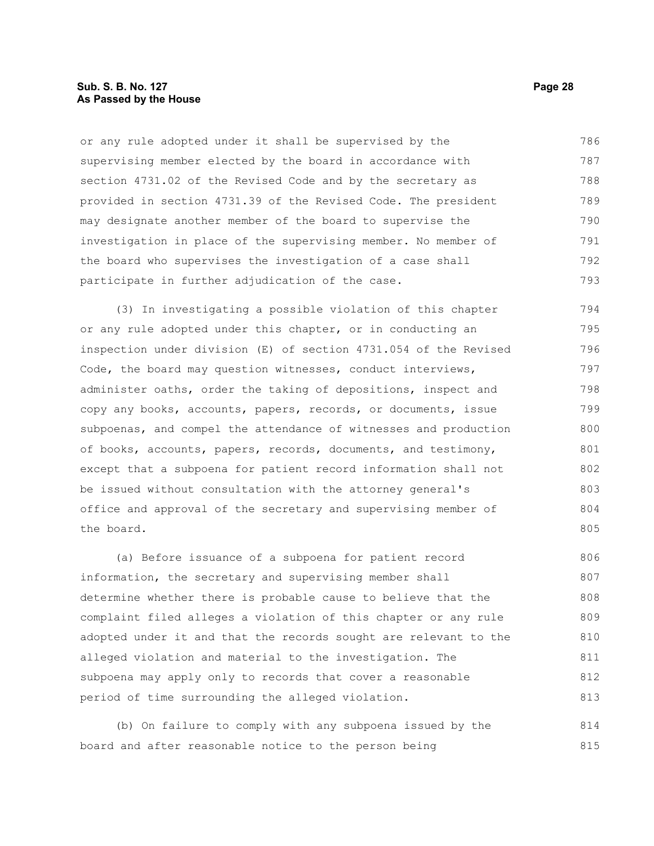#### **Sub. S. B. No. 127 Page 28 As Passed by the House**

or any rule adopted under it shall be supervised by the supervising member elected by the board in accordance with section 4731.02 of the Revised Code and by the secretary as provided in section 4731.39 of the Revised Code. The president may designate another member of the board to supervise the investigation in place of the supervising member. No member of the board who supervises the investigation of a case shall participate in further adjudication of the case. 786 787 788 789 790 791 792 793

(3) In investigating a possible violation of this chapter or any rule adopted under this chapter, or in conducting an inspection under division (E) of section 4731.054 of the Revised Code, the board may question witnesses, conduct interviews, administer oaths, order the taking of depositions, inspect and copy any books, accounts, papers, records, or documents, issue subpoenas, and compel the attendance of witnesses and production of books, accounts, papers, records, documents, and testimony, except that a subpoena for patient record information shall not be issued without consultation with the attorney general's office and approval of the secretary and supervising member of the board. 794 795 796 797 798 799 800 801 802 803 804 805

(a) Before issuance of a subpoena for patient record information, the secretary and supervising member shall determine whether there is probable cause to believe that the complaint filed alleges a violation of this chapter or any rule adopted under it and that the records sought are relevant to the alleged violation and material to the investigation. The subpoena may apply only to records that cover a reasonable period of time surrounding the alleged violation. 806 807 808 809 810 811 812 813

(b) On failure to comply with any subpoena issued by the board and after reasonable notice to the person being 814 815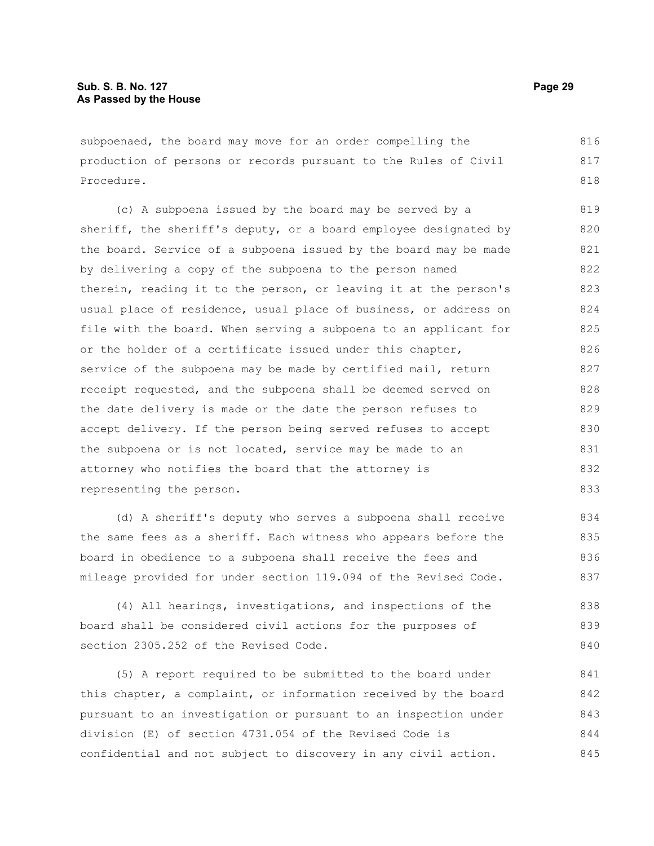subpoenaed, the board may move for an order compelling the production of persons or records pursuant to the Rules of Civil Procedure. 816 817 818

(c) A subpoena issued by the board may be served by a sheriff, the sheriff's deputy, or a board employee designated by the board. Service of a subpoena issued by the board may be made by delivering a copy of the subpoena to the person named therein, reading it to the person, or leaving it at the person's usual place of residence, usual place of business, or address on file with the board. When serving a subpoena to an applicant for or the holder of a certificate issued under this chapter, service of the subpoena may be made by certified mail, return receipt requested, and the subpoena shall be deemed served on the date delivery is made or the date the person refuses to accept delivery. If the person being served refuses to accept the subpoena or is not located, service may be made to an attorney who notifies the board that the attorney is representing the person. 819 820 821 822 823 824 825 826 827 828 829 830 831 832 833

(d) A sheriff's deputy who serves a subpoena shall receive the same fees as a sheriff. Each witness who appears before the board in obedience to a subpoena shall receive the fees and mileage provided for under section 119.094 of the Revised Code. 834 835 836 837

(4) All hearings, investigations, and inspections of the board shall be considered civil actions for the purposes of section 2305.252 of the Revised Code. 838 839 840

(5) A report required to be submitted to the board under this chapter, a complaint, or information received by the board pursuant to an investigation or pursuant to an inspection under division (E) of section 4731.054 of the Revised Code is confidential and not subject to discovery in any civil action. 841 842 843 844 845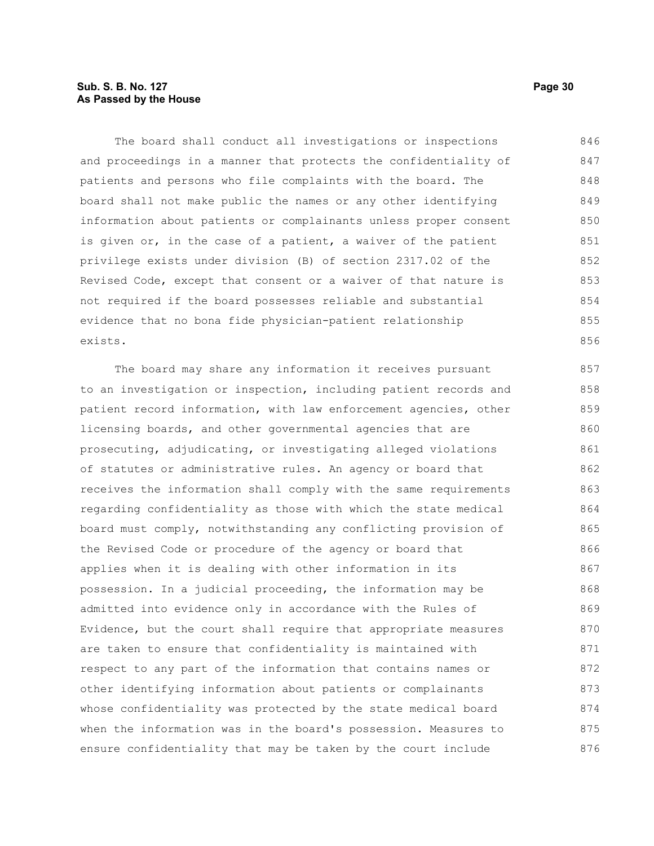#### **Sub. S. B. No. 127 Page 30 As Passed by the House**

The board shall conduct all investigations or inspections and proceedings in a manner that protects the confidentiality of patients and persons who file complaints with the board. The board shall not make public the names or any other identifying information about patients or complainants unless proper consent is given or, in the case of a patient, a waiver of the patient privilege exists under division (B) of section 2317.02 of the Revised Code, except that consent or a waiver of that nature is not required if the board possesses reliable and substantial evidence that no bona fide physician-patient relationship exists. 846 847 848 849 850 851 852 853 854 855 856

The board may share any information it receives pursuant to an investigation or inspection, including patient records and patient record information, with law enforcement agencies, other licensing boards, and other governmental agencies that are prosecuting, adjudicating, or investigating alleged violations of statutes or administrative rules. An agency or board that receives the information shall comply with the same requirements regarding confidentiality as those with which the state medical board must comply, notwithstanding any conflicting provision of the Revised Code or procedure of the agency or board that applies when it is dealing with other information in its possession. In a judicial proceeding, the information may be admitted into evidence only in accordance with the Rules of Evidence, but the court shall require that appropriate measures are taken to ensure that confidentiality is maintained with respect to any part of the information that contains names or other identifying information about patients or complainants whose confidentiality was protected by the state medical board when the information was in the board's possession. Measures to ensure confidentiality that may be taken by the court include 857 858 859 860 861 862 863 864 865 866 867 868 869 870 871 872 873 874 875 876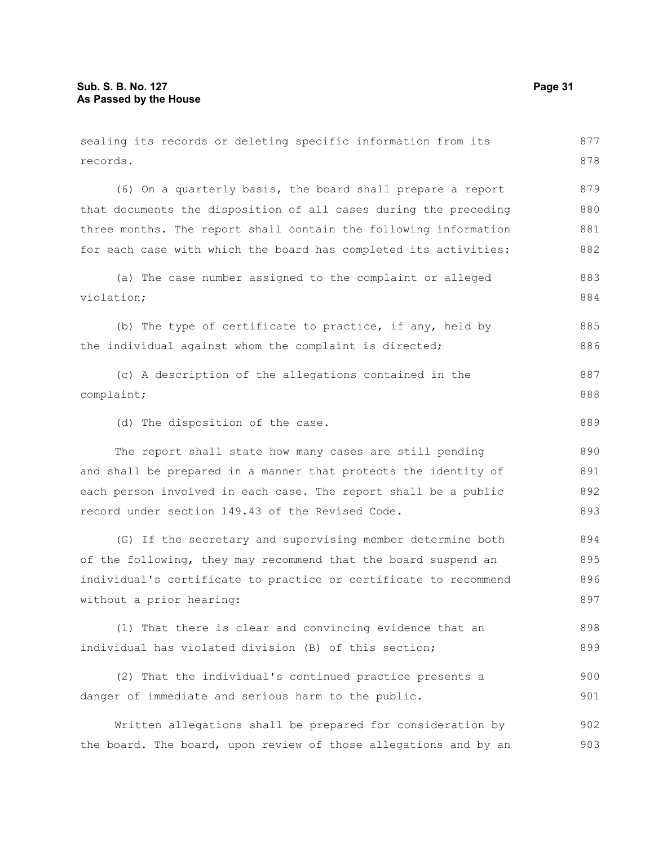sealing its records or deleting specific information from its records. (6) On a quarterly basis, the board shall prepare a report that documents the disposition of all cases during the preceding three months. The report shall contain the following information for each case with which the board has completed its activities: (a) The case number assigned to the complaint or alleged violation; (b) The type of certificate to practice, if any, held by the individual against whom the complaint is directed; (c) A description of the allegations contained in the complaint; (d) The disposition of the case. The report shall state how many cases are still pending and shall be prepared in a manner that protects the identity of each person involved in each case. The report shall be a public record under section 149.43 of the Revised Code. (G) If the secretary and supervising member determine both of the following, they may recommend that the board suspend an individual's certificate to practice or certificate to recommend without a prior hearing: (1) That there is clear and convincing evidence that an individual has violated division (B) of this section; (2) That the individual's continued practice presents a danger of immediate and serious harm to the public. 877 878 879 880 881 882 883 884 885 886 887 888 889 890 891 892 893 894 895 896 897 898 899 900 901

Written allegations shall be prepared for consideration by the board. The board, upon review of those allegations and by an 902 903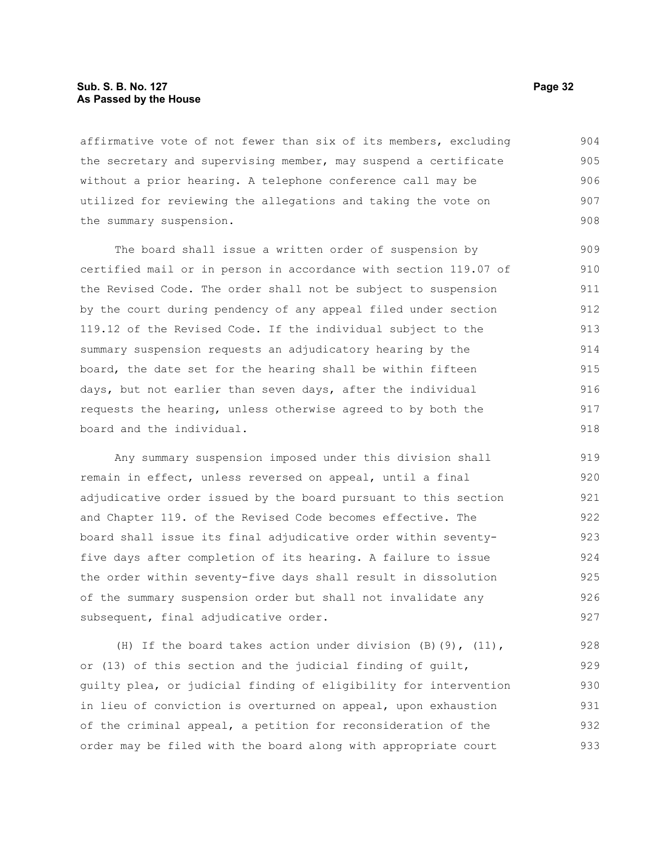#### **Sub. S. B. No. 127 Page 32 As Passed by the House**

affirmative vote of not fewer than six of its members, excluding the secretary and supervising member, may suspend a certificate without a prior hearing. A telephone conference call may be utilized for reviewing the allegations and taking the vote on the summary suspension. 904 905 906 907 908

The board shall issue a written order of suspension by certified mail or in person in accordance with section 119.07 of the Revised Code. The order shall not be subject to suspension by the court during pendency of any appeal filed under section 119.12 of the Revised Code. If the individual subject to the summary suspension requests an adjudicatory hearing by the board, the date set for the hearing shall be within fifteen days, but not earlier than seven days, after the individual requests the hearing, unless otherwise agreed to by both the board and the individual. 909 910 911 912 913 914 915 916 917 918

Any summary suspension imposed under this division shall remain in effect, unless reversed on appeal, until a final adjudicative order issued by the board pursuant to this section and Chapter 119. of the Revised Code becomes effective. The board shall issue its final adjudicative order within seventyfive days after completion of its hearing. A failure to issue the order within seventy-five days shall result in dissolution of the summary suspension order but shall not invalidate any subsequent, final adjudicative order. 919 920 921 922 923 924 925 926 927

(H) If the board takes action under division  $(B)$ (9), (11), or (13) of this section and the judicial finding of guilt, guilty plea, or judicial finding of eligibility for intervention in lieu of conviction is overturned on appeal, upon exhaustion of the criminal appeal, a petition for reconsideration of the order may be filed with the board along with appropriate court 928 929 930 931 932 933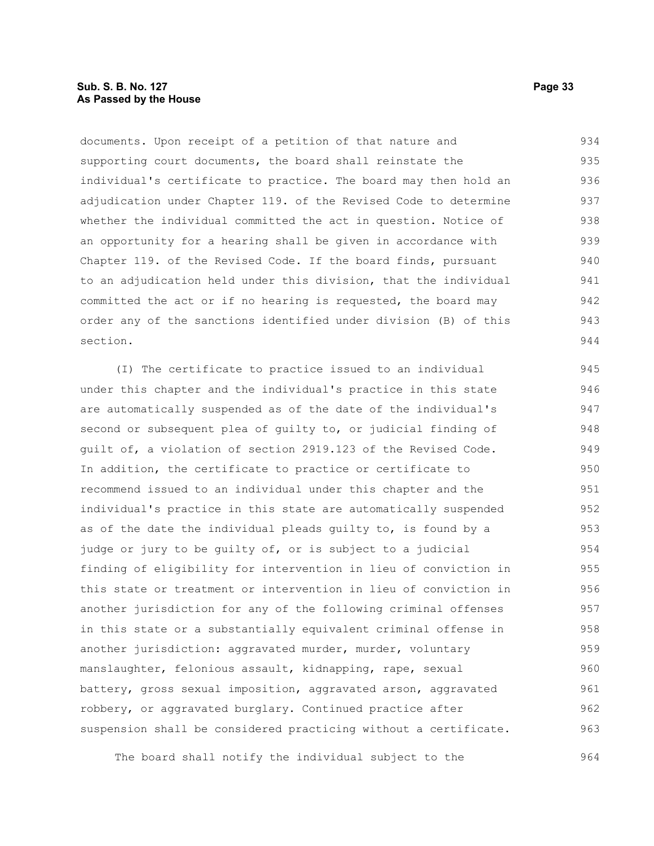documents. Upon receipt of a petition of that nature and supporting court documents, the board shall reinstate the individual's certificate to practice. The board may then hold an adjudication under Chapter 119. of the Revised Code to determine whether the individual committed the act in question. Notice of an opportunity for a hearing shall be given in accordance with Chapter 119. of the Revised Code. If the board finds, pursuant to an adjudication held under this division, that the individual committed the act or if no hearing is requested, the board may order any of the sanctions identified under division (B) of this section. 934 935 936 937 938 939 940 941 942 943 944

(I) The certificate to practice issued to an individual under this chapter and the individual's practice in this state are automatically suspended as of the date of the individual's second or subsequent plea of guilty to, or judicial finding of guilt of, a violation of section 2919.123 of the Revised Code. In addition, the certificate to practice or certificate to recommend issued to an individual under this chapter and the individual's practice in this state are automatically suspended as of the date the individual pleads guilty to, is found by a judge or jury to be guilty of, or is subject to a judicial finding of eligibility for intervention in lieu of conviction in this state or treatment or intervention in lieu of conviction in another jurisdiction for any of the following criminal offenses in this state or a substantially equivalent criminal offense in another jurisdiction: aggravated murder, murder, voluntary manslaughter, felonious assault, kidnapping, rape, sexual battery, gross sexual imposition, aggravated arson, aggravated robbery, or aggravated burglary. Continued practice after suspension shall be considered practicing without a certificate. 945 946 947 948 949 950 951 952 953 954 955 956 957 958 959 960 961 962 963

The board shall notify the individual subject to the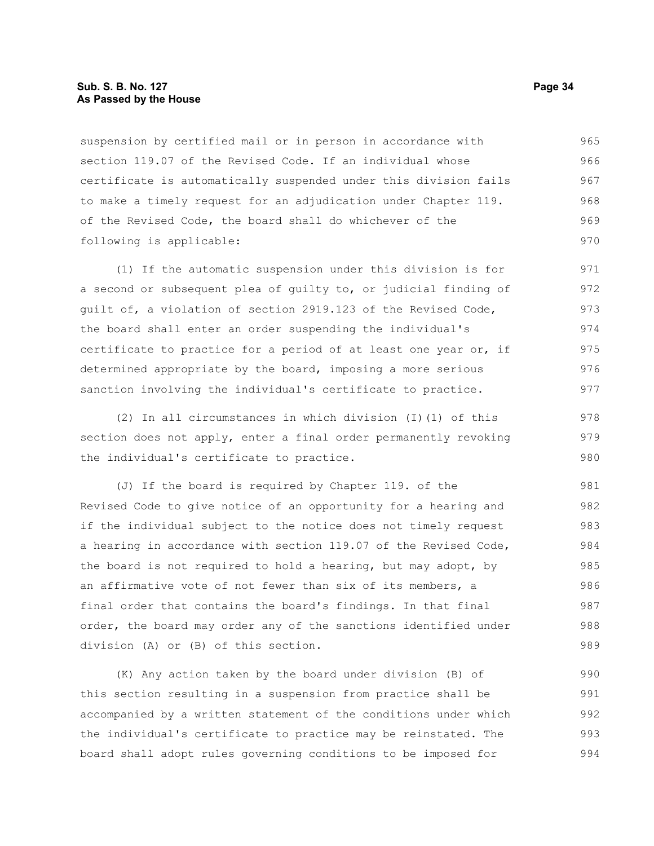#### **Sub. S. B. No. 127 Page 34 As Passed by the House**

suspension by certified mail or in person in accordance with section 119.07 of the Revised Code. If an individual whose certificate is automatically suspended under this division fails to make a timely request for an adjudication under Chapter 119. of the Revised Code, the board shall do whichever of the following is applicable: 965 966 967 968 969 970

(1) If the automatic suspension under this division is for a second or subsequent plea of guilty to, or judicial finding of guilt of, a violation of section 2919.123 of the Revised Code, the board shall enter an order suspending the individual's certificate to practice for a period of at least one year or, if determined appropriate by the board, imposing a more serious sanction involving the individual's certificate to practice. 971 972 973 974 975 976 977

(2) In all circumstances in which division (I)(1) of this section does not apply, enter a final order permanently revoking the individual's certificate to practice. 978 979 980

(J) If the board is required by Chapter 119. of the Revised Code to give notice of an opportunity for a hearing and if the individual subject to the notice does not timely request a hearing in accordance with section 119.07 of the Revised Code, the board is not required to hold a hearing, but may adopt, by an affirmative vote of not fewer than six of its members, a final order that contains the board's findings. In that final order, the board may order any of the sanctions identified under division (A) or (B) of this section. 981 982 983 984 985 986 987 988 989

(K) Any action taken by the board under division (B) of this section resulting in a suspension from practice shall be accompanied by a written statement of the conditions under which the individual's certificate to practice may be reinstated. The board shall adopt rules governing conditions to be imposed for 990 991 992 993 994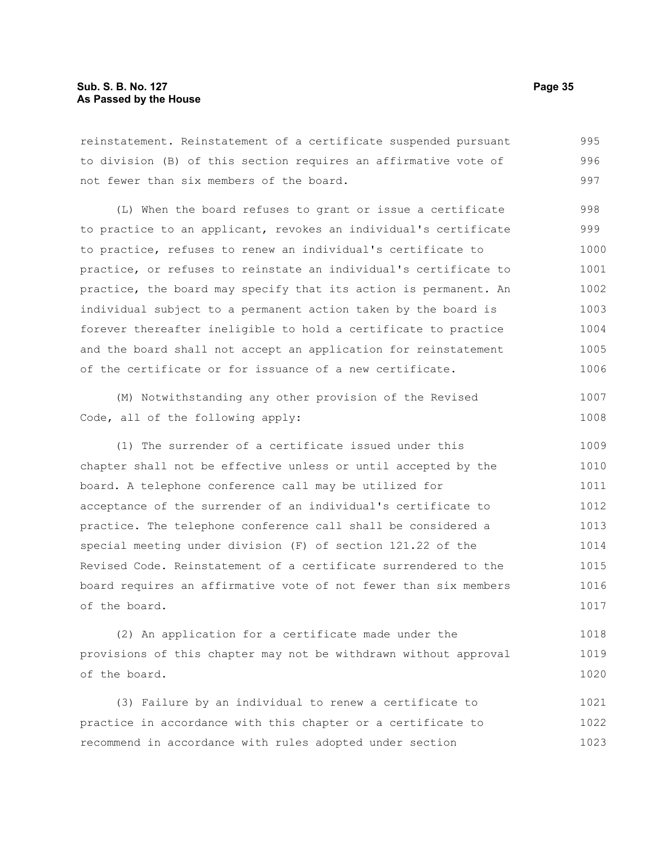reinstatement. Reinstatement of a certificate suspended pursuant to division (B) of this section requires an affirmative vote of not fewer than six members of the board. 995 996 997

(L) When the board refuses to grant or issue a certificate to practice to an applicant, revokes an individual's certificate to practice, refuses to renew an individual's certificate to practice, or refuses to reinstate an individual's certificate to practice, the board may specify that its action is permanent. An individual subject to a permanent action taken by the board is forever thereafter ineligible to hold a certificate to practice and the board shall not accept an application for reinstatement of the certificate or for issuance of a new certificate. 998 999 1000 1001 1002 1003 1004 1005 1006

(M) Notwithstanding any other provision of the Revised Code, all of the following apply: 1007 1008

(1) The surrender of a certificate issued under this chapter shall not be effective unless or until accepted by the board. A telephone conference call may be utilized for acceptance of the surrender of an individual's certificate to practice. The telephone conference call shall be considered a special meeting under division (F) of section 121.22 of the Revised Code. Reinstatement of a certificate surrendered to the board requires an affirmative vote of not fewer than six members of the board. 1009 1010 1011 1012 1013 1014 1015 1016 1017

(2) An application for a certificate made under the provisions of this chapter may not be withdrawn without approval of the board. 1018 1019 1020

(3) Failure by an individual to renew a certificate to practice in accordance with this chapter or a certificate to recommend in accordance with rules adopted under section 1021 1022 1023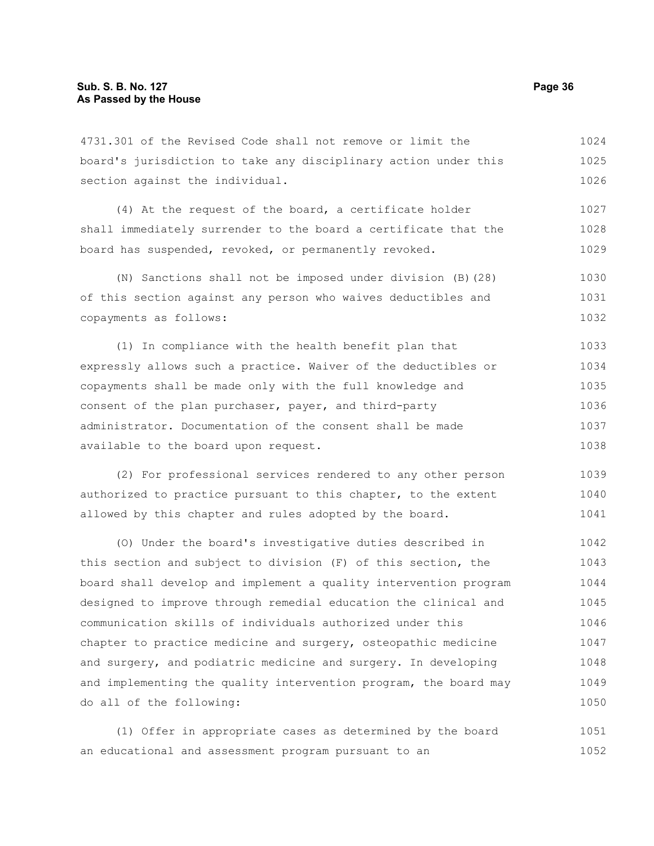4731.301 of the Revised Code shall not remove or limit the board's jurisdiction to take any disciplinary action under this section against the individual. 1024 1025 1026

(4) At the request of the board, a certificate holder shall immediately surrender to the board a certificate that the board has suspended, revoked, or permanently revoked. 1027 1028 1029

(N) Sanctions shall not be imposed under division (B)(28) of this section against any person who waives deductibles and copayments as follows: 1030 1031 1032

(1) In compliance with the health benefit plan that expressly allows such a practice. Waiver of the deductibles or copayments shall be made only with the full knowledge and consent of the plan purchaser, payer, and third-party administrator. Documentation of the consent shall be made available to the board upon request. 1033 1034 1035 1036 1037 1038

(2) For professional services rendered to any other person authorized to practice pursuant to this chapter, to the extent allowed by this chapter and rules adopted by the board. 1039 1040 1041

(O) Under the board's investigative duties described in this section and subject to division (F) of this section, the board shall develop and implement a quality intervention program designed to improve through remedial education the clinical and communication skills of individuals authorized under this chapter to practice medicine and surgery, osteopathic medicine and surgery, and podiatric medicine and surgery. In developing and implementing the quality intervention program, the board may do all of the following: 1042 1043 1044 1045 1046 1047 1048 1049 1050

(1) Offer in appropriate cases as determined by the board an educational and assessment program pursuant to an 1051 1052